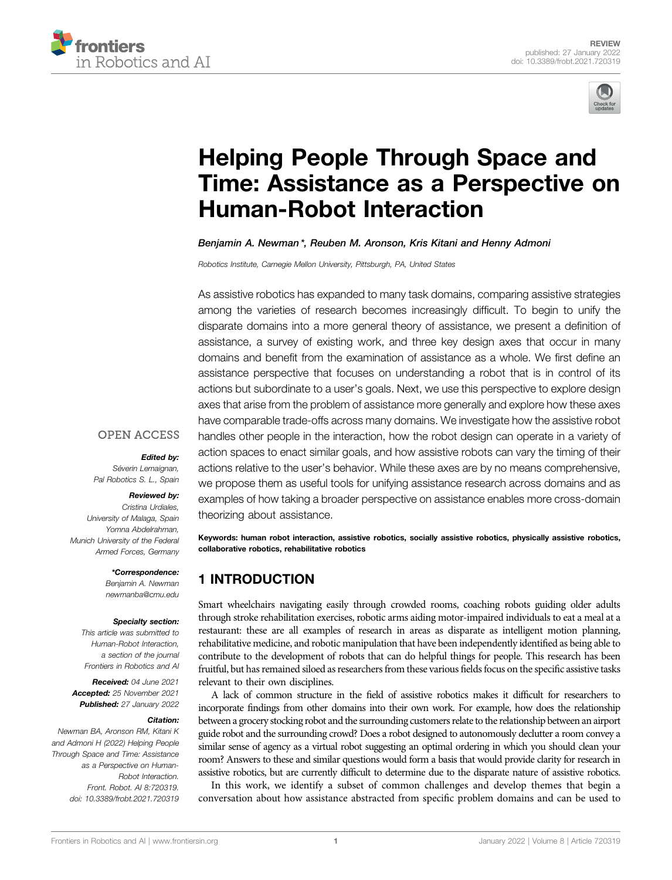



# [Helping People Through Space and](https://www.frontiersin.org/articles/10.3389/frobt.2021.720319/full) [Time: Assistance as a Perspective on](https://www.frontiersin.org/articles/10.3389/frobt.2021.720319/full) [Human-Robot Interaction](https://www.frontiersin.org/articles/10.3389/frobt.2021.720319/full)

Benjamin A. Newman \*, Reuben M. Aronson, Kris Kitani and Henny Admoni

Robotics Institute, Carnegie Mellon University, Pittsburgh, PA, United States

As assistive robotics has expanded to many task domains, comparing assistive strategies among the varieties of research becomes increasingly difficult. To begin to unify the disparate domains into a more general theory of assistance, we present a definition of assistance, a survey of existing work, and three key design axes that occur in many domains and benefit from the examination of assistance as a whole. We first define an assistance perspective that focuses on understanding a robot that is in control of its actions but subordinate to a user's goals. Next, we use this perspective to explore design axes that arise from the problem of assistance more generally and explore how these axes have comparable trade-offs across many domains. We investigate how the assistive robot handles other people in the interaction, how the robot design can operate in a variety of action spaces to enact similar goals, and how assistive robots can vary the timing of their actions relative to the user's behavior. While these axes are by no means comprehensive, we propose them as useful tools for unifying assistance research across domains and as examples of how taking a broader perspective on assistance enables more cross-domain theorizing about assistance.

Keywords: human robot interaction, assistive robotics, socially assistive robotics, physically assistive robotics, collaborative robotics, rehabilitative robotics

# 1 INTRODUCTION

Smart wheelchairs navigating easily through crowded rooms, coaching robots guiding older adults through stroke rehabilitation exercises, robotic arms aiding motor-impaired individuals to eat a meal at a restaurant: these are all examples of research in areas as disparate as intelligent motion planning, rehabilitative medicine, and robotic manipulation that have been independently identified as being able to contribute to the development of robots that can do helpful things for people. This research has been fruitful, but has remained siloed as researchers from these various fields focus on the specific assistive tasks relevant to their own disciplines.

A lack of common structure in the field of assistive robotics makes it difficult for researchers to incorporate findings from other domains into their own work. For example, how does the relationship between a grocery stocking robot and the surrounding customers relate to the relationship between an airport guide robot and the surrounding crowd? Does a robot designed to autonomously declutter a room convey a similar sense of agency as a virtual robot suggesting an optimal ordering in which you should clean your room? Answers to these and similar questions would form a basis that would provide clarity for research in assistive robotics, but are currently difficult to determine due to the disparate nature of assistive robotics.

In this work, we identify a subset of common challenges and develop themes that begin a conversation about how assistance abstracted from specific problem domains and can be used to

# **OPEN ACCESS**

#### Edited by:

Séverin Lemaignan, Pal Robotics S. L., Spain

#### Reviewed by:

Cristina Urdiales, University of Malaga, Spain Yomna Abdelrahman, Munich University of the Federal Armed Forces, Germany

> \*Correspondence: Benjamin A. Newman [newmanba@cmu.edu](mailto:newmanba@cmu.edu)

# Specialty section:

This article was submitted to Human-Robot Interaction, a section of the journal Frontiers in Robotics and AI

Received: 04 June 2021 Accepted: 25 November 2021 Published: 27 January 2022

#### Citation:

Newman BA, Aronson RM, Kitani K and Admoni H (2022) Helping People Through Space and Time: Assistance as a Perspective on Human-Robot Interaction. Front. Robot. AI 8:720319. doi: [10.3389/frobt.2021.720319](https://doi.org/10.3389/frobt.2021.720319)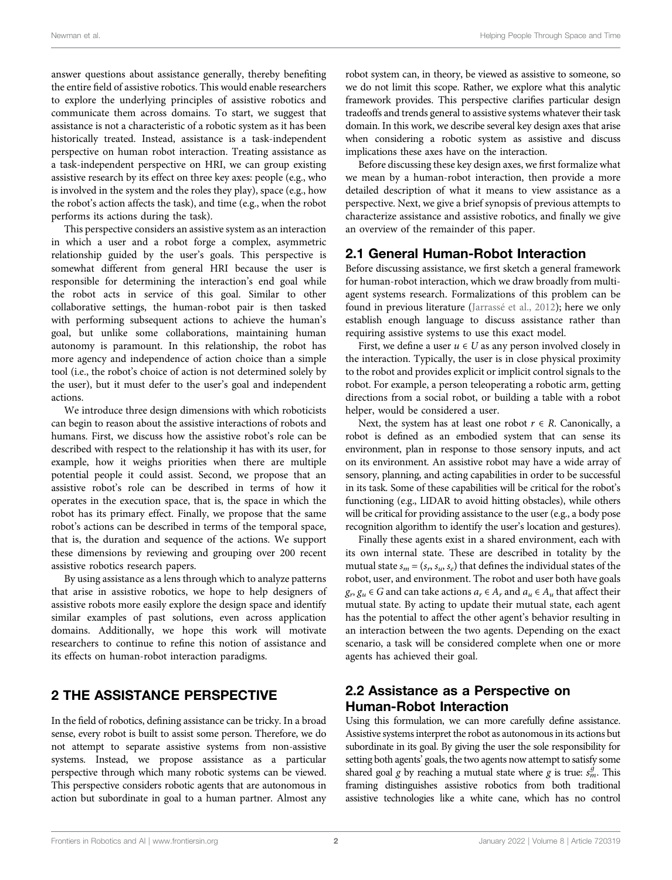answer questions about assistance generally, thereby benefiting the entire field of assistive robotics. This would enable researchers to explore the underlying principles of assistive robotics and communicate them across domains. To start, we suggest that assistance is not a characteristic of a robotic system as it has been historically treated. Instead, assistance is a task-independent perspective on human robot interaction. Treating assistance as a task-independent perspective on HRI, we can group existing assistive research by its effect on three key axes: people (e.g., who is involved in the system and the roles they play), space (e.g., how the robot's action affects the task), and time (e.g., when the robot performs its actions during the task).

This perspective considers an assistive system as an interaction in which a user and a robot forge a complex, asymmetric relationship guided by the user's goals. This perspective is somewhat different from general HRI because the user is responsible for determining the interaction's end goal while the robot acts in service of this goal. Similar to other collaborative settings, the human-robot pair is then tasked with performing subsequent actions to achieve the human's goal, but unlike some collaborations, maintaining human autonomy is paramount. In this relationship, the robot has more agency and independence of action choice than a simple tool (i.e., the robot's choice of action is not determined solely by the user), but it must defer to the user's goal and independent actions.

We introduce three design dimensions with which roboticists can begin to reason about the assistive interactions of robots and humans. First, we discuss how the assistive robot's role can be described with respect to the relationship it has with its user, for example, how it weighs priorities when there are multiple potential people it could assist. Second, we propose that an assistive robot's role can be described in terms of how it operates in the execution space, that is, the space in which the robot has its primary effect. Finally, we propose that the same robot's actions can be described in terms of the temporal space, that is, the duration and sequence of the actions. We support these dimensions by reviewing and grouping over 200 recent assistive robotics research papers.

By using assistance as a lens through which to analyze patterns that arise in assistive robotics, we hope to help designers of assistive robots more easily explore the design space and identify similar examples of past solutions, even across application domains. Additionally, we hope this work will motivate researchers to continue to refine this notion of assistance and its effects on human-robot interaction paradigms.

### <span id="page-1-0"></span>2 THE ASSISTANCE PERSPECTIVE

In the field of robotics, defining assistance can be tricky. In a broad sense, every robot is built to assist some person. Therefore, we do not attempt to separate assistive systems from non-assistive systems. Instead, we propose assistance as a particular perspective through which many robotic systems can be viewed. This perspective considers robotic agents that are autonomous in action but subordinate in goal to a human partner. Almost any robot system can, in theory, be viewed as assistive to someone, so we do not limit this scope. Rather, we explore what this analytic framework provides. This perspective clarifies particular design tradeoffs and trends general to assistive systems whatever their task domain. In this work, we describe several key design axes that arise when considering a robotic system as assistive and discuss implications these axes have on the interaction.

Before discussing these key design axes, we first formalize what we mean by a human-robot interaction, then provide a more detailed description of what it means to view assistance as a perspective. Next, we give a brief synopsis of previous attempts to characterize assistance and assistive robotics, and finally we give an overview of the remainder of this paper.

### 2.1 General Human-Robot Interaction

Before discussing assistance, we first sketch a general framework for human-robot interaction, which we draw broadly from multiagent systems research. Formalizations of this problem can be found in previous literature [\(Jarrassé et al., 2012](#page-14-0)); here we only establish enough language to discuss assistance rather than requiring assistive systems to use this exact model.

First, we define a user  $u \in U$  as any person involved closely in the interaction. Typically, the user is in close physical proximity to the robot and provides explicit or implicit control signals to the robot. For example, a person teleoperating a robotic arm, getting directions from a social robot, or building a table with a robot helper, would be considered a user.

Next, the system has at least one robot  $r \in R$ . Canonically, a robot is defined as an embodied system that can sense its environment, plan in response to those sensory inputs, and act on its environment. An assistive robot may have a wide array of sensory, planning, and acting capabilities in order to be successful in its task. Some of these capabilities will be critical for the robot's functioning (e.g., LIDAR to avoid hitting obstacles), while others will be critical for providing assistance to the user (e.g., a body pose recognition algorithm to identify the user's location and gestures).

Finally these agents exist in a shared environment, each with its own internal state. These are described in totality by the mutual state  $s_m = (s_r, s_u, s_e)$  that defines the individual states of the robot, user, and environment. The robot and user both have goals  $g_r$ ,  $g_u \in G$  and can take actions  $a_r \in A_r$  and  $a_u \in A_u$  that affect their mutual state. By acting to update their mutual state, each agent has the potential to affect the other agent's behavior resulting in an interaction between the two agents. Depending on the exact scenario, a task will be considered complete when one or more agents has achieved their goal.

# 2.2 Assistance as a Perspective on Human-Robot Interaction

Using this formulation, we can more carefully define assistance. Assistive systems interpret the robot as autonomous in its actions but subordinate in its goal. By giving the user the sole responsibility for setting both agents' goals, the two agents now attempt to satisfy some shared goal g by reaching a mutual state where g is true:  $s_m^g$ . This<br>framing distinguishes, assistive, robotics, from both, traditional framing distinguishes assistive robotics from both traditional assistive technologies like a white cane, which has no control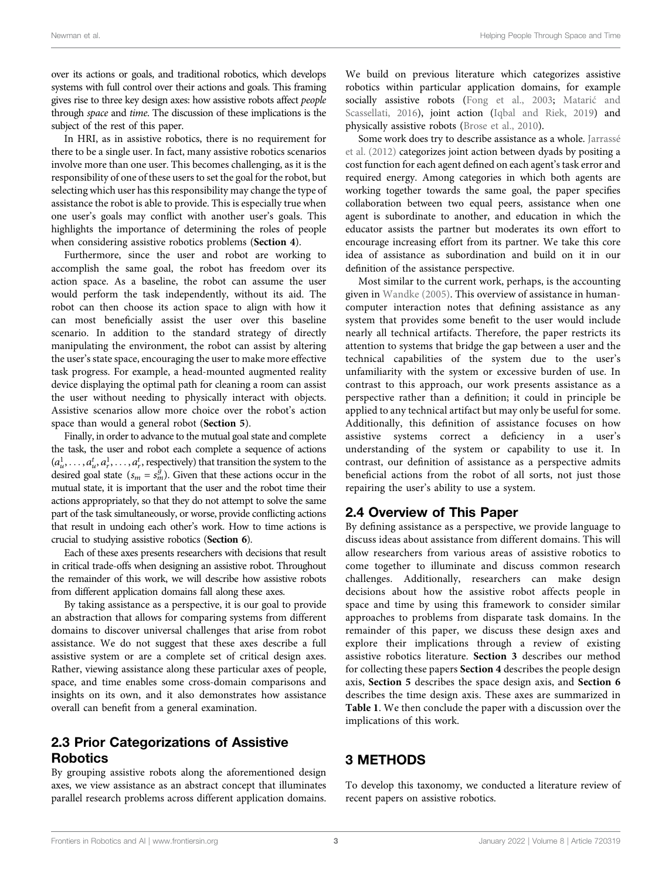over its actions or goals, and traditional robotics, which develops systems with full control over their actions and goals. This framing gives rise to three key design axes: how assistive robots affect people through space and time. The discussion of these implications is the subject of the rest of this paper.

In HRI, as in assistive robotics, there is no requirement for there to be a single user. In fact, many assistive robotics scenarios involve more than one user. This becomes challenging, as it is the responsibility of one of these users to set the goal for the robot, but selecting which user has this responsibility may change the type of assistance the robot is able to provide. This is especially true when one user's goals may conflict with another user's goals. This highlights the importance of determining the roles of people when considering assistive robotics problems ([Section 4](#page-3-0)).

Furthermore, since the user and robot are working to accomplish the same goal, the robot has freedom over its action space. As a baseline, the robot can assume the user would perform the task independently, without its aid. The robot can then choose its action space to align with how it can most beneficially assist the user over this baseline scenario. In addition to the standard strategy of directly manipulating the environment, the robot can assist by altering the user's state space, encouraging the user to make more effective task progress. For example, a head-mounted augmented reality device displaying the optimal path for cleaning a room can assist the user without needing to physically interact with objects. Assistive scenarios allow more choice over the robot's action space than would a general robot ([Section 5](#page-5-0)).

Finally, in order to advance to the mutual goal state and complete the task, the user and robot each complete a sequence of actions  $(a_u^1, \ldots, a_u^t, a_v^1)$ <br>desired goal st  $u_1^1, \ldots, a_u^1, a_v^1, \ldots, a_v^t$ , respectively) that transition the system to the system of the system of the system of the system in the desired goal state  $(s_m = s_m^g)$ . Given that these actions occur in the mutual state it is important that the user and the robot time their mutual state, it is important that the user and the robot time their actions appropriately, so that they do not attempt to solve the same part of the task simultaneously, or worse, provide conflicting actions that result in undoing each other's work. How to time actions is crucial to studying assistive robotics ([Section 6](#page-9-0)).

Each of these axes presents researchers with decisions that result in critical trade-offs when designing an assistive robot. Throughout the remainder of this work, we will describe how assistive robots from different application domains fall along these axes.

By taking assistance as a perspective, it is our goal to provide an abstraction that allows for comparing systems from different domains to discover universal challenges that arise from robot assistance. We do not suggest that these axes describe a full assistive system or are a complete set of critical design axes. Rather, viewing assistance along these particular axes of people, space, and time enables some cross-domain comparisons and insights on its own, and it also demonstrates how assistance overall can benefit from a general examination.

# 2.3 Prior Categorizations of Assistive **Robotics**

By grouping assistive robots along the aforementioned design axes, we view assistance as an abstract concept that illuminates parallel research problems across different application domains.

We build on previous literature which categorizes assistive robotics within particular application domains, for example socially assistive robots [\(Fong et al., 2003;](#page-13-0) [Matari](#page-15-0)ć and [Scassellati, 2016\)](#page-15-0), joint action ([Iqbal and Riek, 2019](#page-14-1)) and physically assistive robots ([Brose et al., 2010\)](#page-12-0).

Some work does try to describe assistance as a whole. [Jarrassé](#page-14-0) [et al. \(2012\)](#page-14-0) categorizes joint action between dyads by positing a cost function for each agent defined on each agent's task error and required energy. Among categories in which both agents are working together towards the same goal, the paper specifies collaboration between two equal peers, assistance when one agent is subordinate to another, and education in which the educator assists the partner but moderates its own effort to encourage increasing effort from its partner. We take this core idea of assistance as subordination and build on it in our definition of the assistance perspective.

Most similar to the current work, perhaps, is the accounting given in [Wandke \(2005\).](#page-18-0) This overview of assistance in humancomputer interaction notes that defining assistance as any system that provides some benefit to the user would include nearly all technical artifacts. Therefore, the paper restricts its attention to systems that bridge the gap between a user and the technical capabilities of the system due to the user's unfamiliarity with the system or excessive burden of use. In contrast to this approach, our work presents assistance as a perspective rather than a definition; it could in principle be applied to any technical artifact but may only be useful for some. Additionally, this definition of assistance focuses on how assistive systems correct a deficiency in a user's understanding of the system or capability to use it. In contrast, our definition of assistance as a perspective admits beneficial actions from the robot of all sorts, not just those repairing the user's ability to use a system.

### 2.4 Overview of This Paper

By defining assistance as a perspective, we provide language to discuss ideas about assistance from different domains. This will allow researchers from various areas of assistive robotics to come together to illuminate and discuss common research challenges. Additionally, researchers can make design decisions about how the assistive robot affects people in space and time by using this framework to consider similar approaches to problems from disparate task domains. In the remainder of this paper, we discuss these design axes and explore their implications through a review of existing assistive robotics literature. [Sectio](#page-3-0)[n 3](#page-2-0) describes our method for collecting these papers Section 4 describes the people design axis, [Section 5](#page-5-0) describes the space design axis, and [Section 6](#page-9-0) describes the time design axis. These axes are summarized in [Table 1](#page-3-1). We then conclude the paper with a discussion over the implications of this work.

### <span id="page-2-0"></span>3 METHODS

To develop this taxonomy, we conducted a literature review of recent papers on assistive robotics.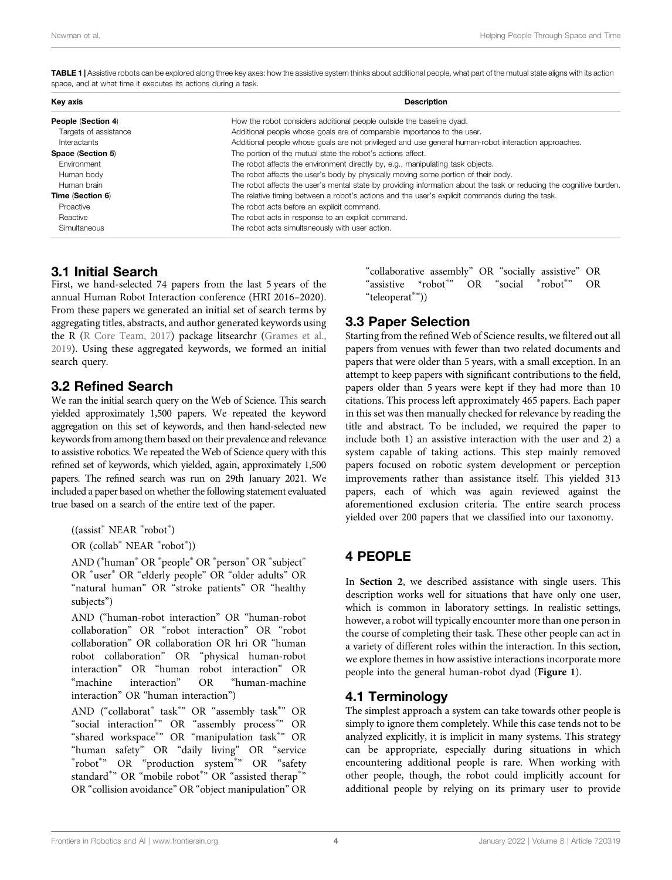| Key axis              | <b>Description</b>                                                                                                  |
|-----------------------|---------------------------------------------------------------------------------------------------------------------|
| People (Section 4)    | How the robot considers additional people outside the baseline dyad.                                                |
| Targets of assistance | Additional people whose goals are of comparable importance to the user.                                             |
| Interactants          | Additional people whose goals are not privileged and use general human-robot interaction approaches.                |
| Space (Section 5)     | The portion of the mutual state the robot's actions affect.                                                         |
| Environment           | The robot affects the environment directly by, e.g., manipulating task objects.                                     |
| Human body            | The robot affects the user's body by physically moving some portion of their body.                                  |
| Human brain           | The robot affects the user's mental state by providing information about the task or reducing the cognitive burden. |
| Time (Section 6)      | The relative timing between a robot's actions and the user's explicit commands during the task.                     |
| Proactive             | The robot acts before an explicit command.                                                                          |
| Reactive              | The robot acts in response to an explicit command.                                                                  |
| Simultaneous          | The robot acts simultaneously with user action.                                                                     |

<span id="page-3-1"></span>TABLE 1 | Assistive robots can be explored along three key axes: how the assistive system thinks about additional people, what part of the mutual state aligns with its action space, and at what time it executes its actions during a task.

# 3.1 Initial Search

First, we hand-selected 74 papers from the last 5 years of the annual Human Robot Interaction conference (HRI 2016–2020). From these papers we generated an initial set of search terms by aggregating titles, abstracts, and author generated keywords using the R ([R Core Team, 2017](#page-16-0)) package litsearchr ([Grames et al.,](#page-14-2) [2019](#page-14-2)). Using these aggregated keywords, we formed an initial search query.

# 3.2 Refined Search

We ran the initial search query on the Web of Science. This search yielded approximately 1,500 papers. We repeated the keyword aggregation on this set of keywords, and then hand-selected new keywords from among them based on their prevalence and relevance to assistive robotics. We repeated the Web of Science query with this refined set of keywords, which yielded, again, approximately 1,500 papers. The refined search was run on 29th January 2021. We included a paper based on whether the following statement evaluated true based on a search of the entire text of the paper.

 $((\text{assert}^*\text{ NEAR }^*\text{robot}^*)$ 

OR (collab<sup>\*</sup> NEAR <sup>\*</sup>robot<sup>\*</sup>))

AND (\*human\* OR \*people\* OR \*person\* OR \*subject\* OR \*user\* OR "elderly people" OR "older adults" OR "natural human" OR "stroke patients" OR "healthy subjects")

AND ("human-robot interaction" OR "human-robot collaboration" OR "robot interaction" OR "robot collaboration" OR collaboration OR hri OR "human robot collaboration" OR "physical human-robot interaction" OR "human robot interaction" OR "machine interaction" OR "human-machine interaction" OR "human interaction")

AND ("collaborat" task<sup>\*</sup>" OR "assembly task<sup>\*</sup>" OR "social interaction<sup>\*</sup>" OR "assembly process<sup>\*</sup>" OR "shared workspace"" OR "manipulation task"" OR "human safety" OR "daily living" OR "service<br>"robot"" OR "production system"" OR "safety standard\*" OR "mobile robot\*" OR "assisted therap\*" OR "collision avoidance" OR "object manipulation" OR "collaborative assembly" OR "socially assistive" OR "assistive \*robot<sup>\*</sup>" OR "social \*robot<sup>\*</sup> " OR "teleoperat""))

# 3.3 Paper Selection

Starting from the refined Web of Science results, we filtered out all papers from venues with fewer than two related documents and papers that were older than 5 years, with a small exception. In an attempt to keep papers with significant contributions to the field, papers older than 5 years were kept if they had more than 10 citations. This process left approximately 465 papers. Each paper in this set was then manually checked for relevance by reading the title and abstract. To be included, we required the paper to include both 1) an assistive interaction with the user and 2) a system capable of taking actions. This step mainly removed papers focused on robotic system development or perception improvements rather than assistance itself. This yielded 313 papers, each of which was again reviewed against the aforementioned exclusion criteria. The entire search process yielded over 200 papers that we classified into our taxonomy.

# <span id="page-3-0"></span>4 PEOPLE

In [Section 2](#page-1-0), we described assistance with single users. This description works well for situations that have only one user, which is common in laboratory settings. In realistic settings, however, a robot will typically encounter more than one person in the course of completing their task. These other people can act in a variety of different roles within the interaction. In this section, we explore themes in how assistive interactions incorporate more people into the general human-robot dyad ([Figure 1](#page-4-0)).

# 4.1 Terminology

The simplest approach a system can take towards other people is simply to ignore them completely. While this case tends not to be analyzed explicitly, it is implicit in many systems. This strategy can be appropriate, especially during situations in which encountering additional people is rare. When working with other people, though, the robot could implicitly account for additional people by relying on its primary user to provide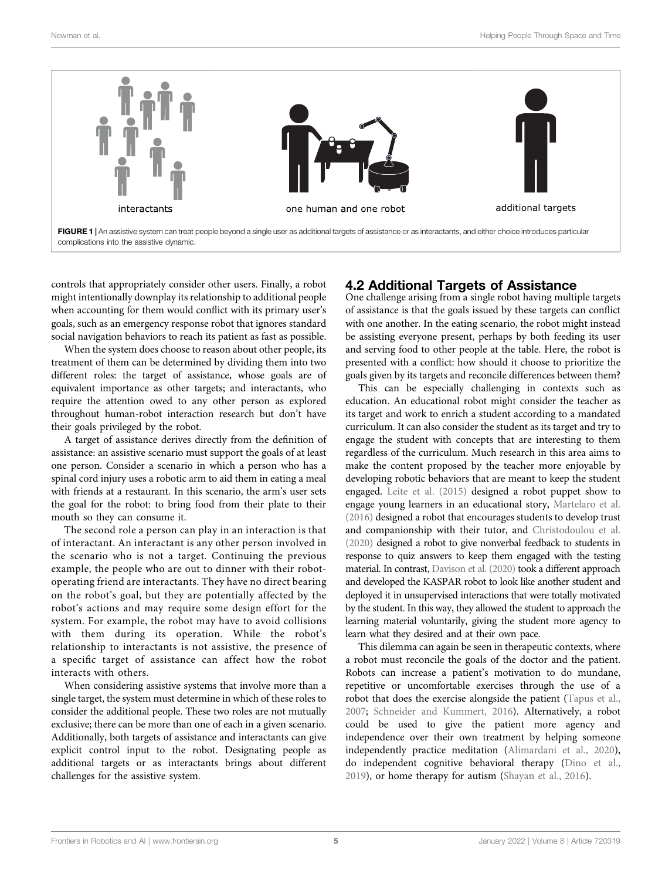

<span id="page-4-0"></span>controls that appropriately consider other users. Finally, a robot might intentionally downplay its relationship to additional people when accounting for them would conflict with its primary user's goals, such as an emergency response robot that ignores standard social navigation behaviors to reach its patient as fast as possible.

When the system does choose to reason about other people, its treatment of them can be determined by dividing them into two different roles: the target of assistance, whose goals are of equivalent importance as other targets; and interactants, who require the attention owed to any other person as explored throughout human-robot interaction research but don't have their goals privileged by the robot.

A target of assistance derives directly from the definition of assistance: an assistive scenario must support the goals of at least one person. Consider a scenario in which a person who has a spinal cord injury uses a robotic arm to aid them in eating a meal with friends at a restaurant. In this scenario, the arm's user sets the goal for the robot: to bring food from their plate to their mouth so they can consume it.

The second role a person can play in an interaction is that of interactant. An interactant is any other person involved in the scenario who is not a target. Continuing the previous example, the people who are out to dinner with their robotoperating friend are interactants. They have no direct bearing on the robot's goal, but they are potentially affected by the robot's actions and may require some design effort for the system. For example, the robot may have to avoid collisions with them during its operation. While the robot's relationship to interactants is not assistive, the presence of a specific target of assistance can affect how the robot interacts with others.

When considering assistive systems that involve more than a single target, the system must determine in which of these roles to consider the additional people. These two roles are not mutually exclusive; there can be more than one of each in a given scenario. Additionally, both targets of assistance and interactants can give explicit control input to the robot. Designating people as additional targets or as interactants brings about different challenges for the assistive system.

# 4.2 Additional Targets of Assistance

One challenge arising from a single robot having multiple targets of assistance is that the goals issued by these targets can conflict with one another. In the eating scenario, the robot might instead be assisting everyone present, perhaps by both feeding its user and serving food to other people at the table. Here, the robot is presented with a conflict: how should it choose to prioritize the goals given by its targets and reconcile differences between them?

This can be especially challenging in contexts such as education. An educational robot might consider the teacher as its target and work to enrich a student according to a mandated curriculum. It can also consider the student as its target and try to engage the student with concepts that are interesting to them regardless of the curriculum. Much research in this area aims to make the content proposed by the teacher more enjoyable by developing robotic behaviors that are meant to keep the student engaged. [Leite et al. \(2015\)](#page-15-1) designed a robot puppet show to engage young learners in an educational story, [Martelaro et al.](#page-15-2) [\(2016\)](#page-15-2) designed a robot that encourages students to develop trust and companionship with their tutor, and [Christodoulou et al.](#page-13-1) [\(2020\)](#page-13-1) designed a robot to give nonverbal feedback to students in response to quiz answers to keep them engaged with the testing material. In contrast, [Davison et al. \(2020\)](#page-13-2) took a different approach and developed the KASPAR robot to look like another student and deployed it in unsupervised interactions that were totally motivated by the student. In this way, they allowed the student to approach the learning material voluntarily, giving the student more agency to learn what they desired and at their own pace.

This dilemma can again be seen in therapeutic contexts, where a robot must reconcile the goals of the doctor and the patient. Robots can increase a patient's motivation to do mundane, repetitive or uncomfortable exercises through the use of a robot that does the exercise alongside the patient ([Tapus et al.,](#page-18-1) [2007](#page-18-1); [Schneider and Kummert, 2016](#page-17-0)). Alternatively, a robot could be used to give the patient more agency and independence over their own treatment by helping someone independently practice meditation ([Alimardani et al., 2020\)](#page-12-1), do independent cognitive behavioral therapy [\(Dino et al.,](#page-13-3) [2019](#page-13-3)), or home therapy for autism [\(Shayan et al., 2016\)](#page-17-1).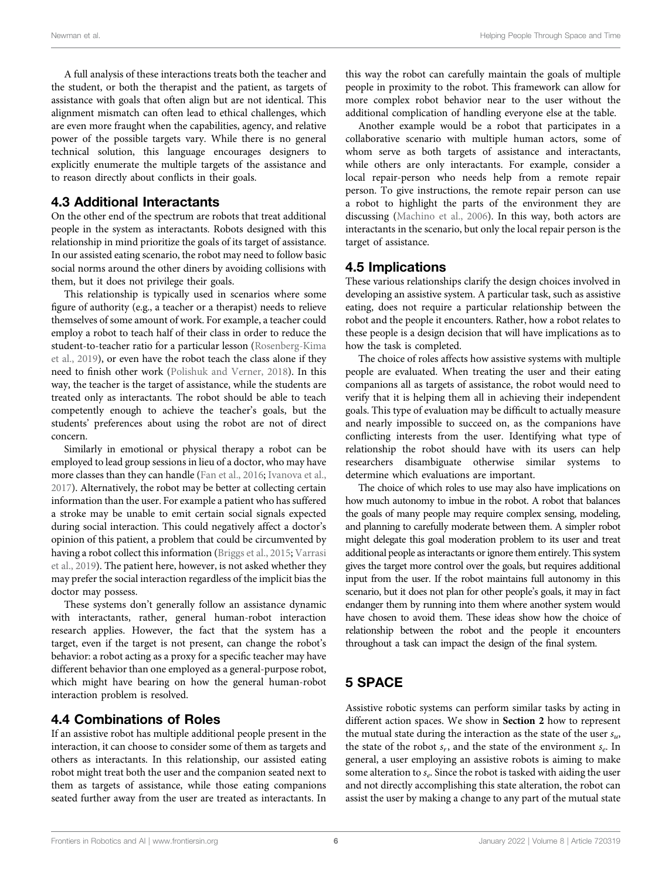A full analysis of these interactions treats both the teacher and the student, or both the therapist and the patient, as targets of assistance with goals that often align but are not identical. This alignment mismatch can often lead to ethical challenges, which are even more fraught when the capabilities, agency, and relative power of the possible targets vary. While there is no general technical solution, this language encourages designers to explicitly enumerate the multiple targets of the assistance and to reason directly about conflicts in their goals.

#### 4.3 Additional Interactants

On the other end of the spectrum are robots that treat additional people in the system as interactants. Robots designed with this relationship in mind prioritize the goals of its target of assistance. In our assisted eating scenario, the robot may need to follow basic social norms around the other diners by avoiding collisions with them, but it does not privilege their goals.

This relationship is typically used in scenarios where some figure of authority (e.g., a teacher or a therapist) needs to relieve themselves of some amount of work. For example, a teacher could employ a robot to teach half of their class in order to reduce the student-to-teacher ratio for a particular lesson ([Rosenberg-Kima](#page-17-2) [et al., 2019\)](#page-17-2), or even have the robot teach the class alone if they need to finish other work [\(Polishuk and Verner, 2018](#page-16-1)). In this way, the teacher is the target of assistance, while the students are treated only as interactants. The robot should be able to teach competently enough to achieve the teacher's goals, but the students' preferences about using the robot are not of direct concern.

Similarly in emotional or physical therapy a robot can be employed to lead group sessions in lieu of a doctor, who may have more classes than they can handle ([Fan et al., 2016](#page-13-4); [Ivanova et al.,](#page-14-3) [2017](#page-14-3)). Alternatively, the robot may be better at collecting certain information than the user. For example a patient who has suffered a stroke may be unable to emit certain social signals expected during social interaction. This could negatively affect a doctor's opinion of this patient, a problem that could be circumvented by having a robot collect this information ([Briggs et al., 2015;](#page-12-2) [Varrasi](#page-18-2) [et al., 2019](#page-18-2)). The patient here, however, is not asked whether they may prefer the social interaction regardless of the implicit bias the doctor may possess.

These systems don't generally follow an assistance dynamic with interactants, rather, general human-robot interaction research applies. However, the fact that the system has a target, even if the target is not present, can change the robot's behavior: a robot acting as a proxy for a specific teacher may have different behavior than one employed as a general-purpose robot, which might have bearing on how the general human-robot interaction problem is resolved.

#### 4.4 Combinations of Roles

If an assistive robot has multiple additional people present in the interaction, it can choose to consider some of them as targets and others as interactants. In this relationship, our assisted eating robot might treat both the user and the companion seated next to them as targets of assistance, while those eating companions seated further away from the user are treated as interactants. In

this way the robot can carefully maintain the goals of multiple people in proximity to the robot. This framework can allow for more complex robot behavior near to the user without the additional complication of handling everyone else at the table.

Another example would be a robot that participates in a collaborative scenario with multiple human actors, some of whom serve as both targets of assistance and interactants, while others are only interactants. For example, consider a local repair-person who needs help from a remote repair person. To give instructions, the remote repair person can use a robot to highlight the parts of the environment they are discussing ([Machino et al., 2006](#page-15-3)). In this way, both actors are interactants in the scenario, but only the local repair person is the target of assistance.

#### 4.5 Implications

These various relationships clarify the design choices involved in developing an assistive system. A particular task, such as assistive eating, does not require a particular relationship between the robot and the people it encounters. Rather, how a robot relates to these people is a design decision that will have implications as to how the task is completed.

The choice of roles affects how assistive systems with multiple people are evaluated. When treating the user and their eating companions all as targets of assistance, the robot would need to verify that it is helping them all in achieving their independent goals. This type of evaluation may be difficult to actually measure and nearly impossible to succeed on, as the companions have conflicting interests from the user. Identifying what type of relationship the robot should have with its users can help researchers disambiguate otherwise similar systems to determine which evaluations are important.

The choice of which roles to use may also have implications on how much autonomy to imbue in the robot. A robot that balances the goals of many people may require complex sensing, modeling, and planning to carefully moderate between them. A simpler robot might delegate this goal moderation problem to its user and treat additional people as interactants or ignore them entirely. This system gives the target more control over the goals, but requires additional input from the user. If the robot maintains full autonomy in this scenario, but it does not plan for other people's goals, it may in fact endanger them by running into them where another system would have chosen to avoid them. These ideas show how the choice of relationship between the robot and the people it encounters throughout a task can impact the design of the final system.

# <span id="page-5-0"></span>5 SPACE

Assistive robotic systems can perform similar tasks by acting in different action spaces. We show in [Section 2](#page-1-0) how to represent the mutual state during the interaction as the state of the user  $s_{\mu}$ , the state of the robot  $s_r$ , and the state of the environment  $s_e$ . In general, a user employing an assistive robots is aiming to make some alteration to  $s_e$ . Since the robot is tasked with aiding the user and not directly accomplishing this state alteration, the robot can assist the user by making a change to any part of the mutual state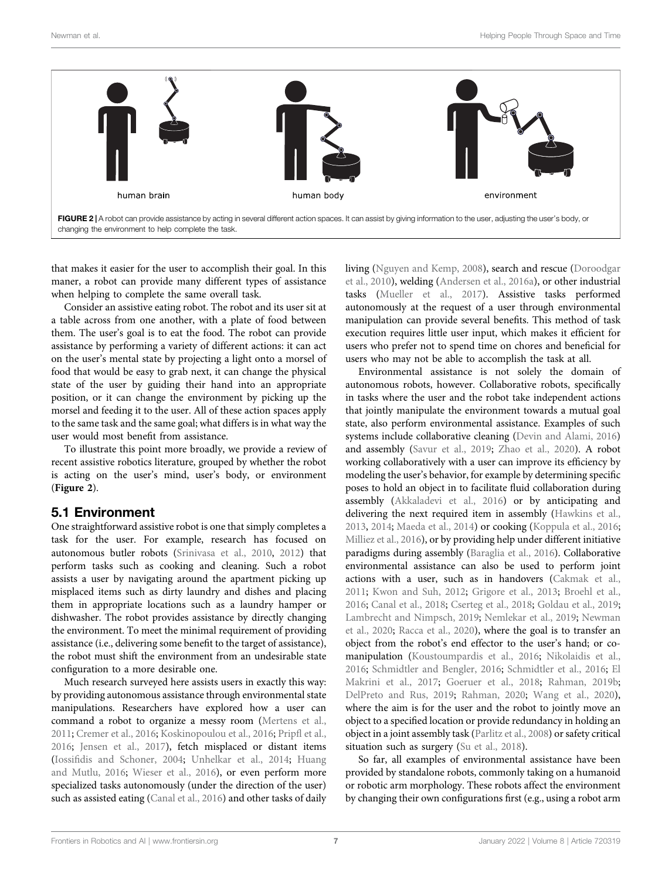

<span id="page-6-0"></span>changing the environment to help complete the task.

that makes it easier for the user to accomplish their goal. In this maner, a robot can provide many different types of assistance when helping to complete the same overall task.

Consider an assistive eating robot. The robot and its user sit at a table across from one another, with a plate of food between them. The user's goal is to eat the food. The robot can provide assistance by performing a variety of different actions: it can act on the user's mental state by projecting a light onto a morsel of food that would be easy to grab next, it can change the physical state of the user by guiding their hand into an appropriate position, or it can change the environment by picking up the morsel and feeding it to the user. All of these action spaces apply to the same task and the same goal; what differs is in what way the user would most benefit from assistance.

To illustrate this point more broadly, we provide a review of recent assistive robotics literature, grouped by whether the robot is acting on the user's mind, user's body, or environment ([Figure 2](#page-6-0)).

# 5.1 Environment

One straightforward assistive robot is one that simply completes a task for the user. For example, research has focused on autonomous butler robots ([Srinivasa et al., 2010](#page-18-3), [2012](#page-17-3)) that perform tasks such as cooking and cleaning. Such a robot assists a user by navigating around the apartment picking up misplaced items such as dirty laundry and dishes and placing them in appropriate locations such as a laundry hamper or dishwasher. The robot provides assistance by directly changing the environment. To meet the minimal requirement of providing assistance (i.e., delivering some benefit to the target of assistance), the robot must shift the environment from an undesirable state configuration to a more desirable one.

Much research surveyed here assists users in exactly this way: by providing autonomous assistance through environmental state manipulations. Researchers have explored how a user can command a robot to organize a messy room [\(Mertens et al.,](#page-15-4) [2011](#page-15-4); [Cremer et al., 2016](#page-13-5); [Koskinopoulou et al., 2016](#page-14-4); Pripfl [et al.,](#page-16-2) [2016](#page-16-2); [Jensen et al., 2017\)](#page-14-5), fetch misplaced or distant items (Iossifi[dis and Schoner, 2004](#page-14-6); [Unhelkar et al., 2014](#page-18-4); [Huang](#page-14-7) [and Mutlu, 2016](#page-14-7); [Wieser et al., 2016](#page-18-5)), or even perform more specialized tasks autonomously (under the direction of the user) such as assisted eating [\(Canal et al., 2016](#page-12-3)) and other tasks of daily

living [\(Nguyen and Kemp, 2008\)](#page-16-3), search and rescue ([Doroodgar](#page-13-6) [et al., 2010\)](#page-13-6), welding ([Andersen et al., 2016a\)](#page-12-4), or other industrial tasks ([Mueller et al., 2017](#page-16-4)). Assistive tasks performed autonomously at the request of a user through environmental manipulation can provide several benefits. This method of task execution requires little user input, which makes it efficient for users who prefer not to spend time on chores and beneficial for users who may not be able to accomplish the task at all.

Environmental assistance is not solely the domain of autonomous robots, however. Collaborative robots, specifically in tasks where the user and the robot take independent actions that jointly manipulate the environment towards a mutual goal state, also perform environmental assistance. Examples of such systems include collaborative cleaning ([Devin and Alami, 2016\)](#page-13-7) and assembly [\(Savur et al., 2019](#page-17-4); [Zhao et al., 2020](#page-18-6)). A robot working collaboratively with a user can improve its efficiency by modeling the user's behavior, for example by determining specific poses to hold an object in to facilitate fluid collaboration during assembly ([Akkaladevi et al., 2016\)](#page-12-5) or by anticipating and delivering the next required item in assembly ([Hawkins et al.,](#page-14-8) [2013](#page-14-8), [2014](#page-14-9); [Maeda et al., 2014](#page-15-5)) or cooking [\(Koppula et al., 2016;](#page-14-10) [Milliez et al., 2016](#page-15-6)), or by providing help under different initiative paradigms during assembly ([Baraglia et al., 2016](#page-12-6)). Collaborative environmental assistance can also be used to perform joint actions with a user, such as in handovers [\(Cakmak et al.,](#page-12-7) [2011](#page-12-7); [Kwon and Suh, 2012;](#page-15-7) [Grigore et al., 2013](#page-14-11); [Broehl et al.,](#page-12-8) [2016](#page-12-8); [Canal et al., 2018;](#page-12-9) [Cserteg et al., 2018;](#page-13-8) [Goldau et al., 2019;](#page-14-12) [Lambrecht and Nimpsch, 2019](#page-15-8); [Nemlekar et al., 2019;](#page-16-5) [Newman](#page-16-6) [et al., 2020](#page-16-6); [Racca et al., 2020](#page-16-7)), where the goal is to transfer an object from the robot's end effector to the user's hand; or comanipulation [\(Koustoumpardis et al., 2016;](#page-14-13) [Nikolaidis et al.,](#page-16-8) [2016](#page-16-8); [Schmidtler and Bengler, 2016](#page-17-5); [Schmidtler et al., 2016;](#page-17-6) [El](#page-13-9) [Makrini et al., 2017](#page-13-9); [Goeruer et al., 2018](#page-13-10); [Rahman, 2019b;](#page-17-7) [DelPreto and Rus, 2019](#page-13-11); [Rahman, 2020;](#page-15-9) [Wang et al., 2020\)](#page-18-7), where the aim is for the user and the robot to jointly move an object to a specified location or provide redundancy in holding an object in a joint assembly task ([Parlitz et al., 2008](#page-16-9)) or safety critical situation such as surgery ([Su et al., 2018](#page-18-8)).

So far, all examples of environmental assistance have been provided by standalone robots, commonly taking on a humanoid or robotic arm morphology. These robots affect the environment by changing their own configurations first (e.g., using a robot arm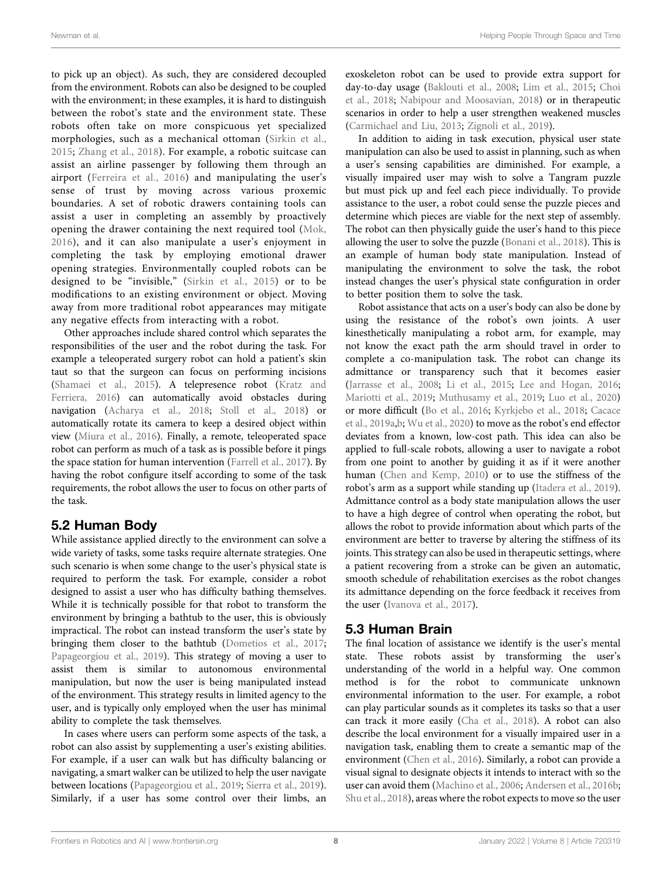to pick up an object). As such, they are considered decoupled from the environment. Robots can also be designed to be coupled with the environment; in these examples, it is hard to distinguish between the robot's state and the environment state. These robots often take on more conspicuous yet specialized morphologies, such as a mechanical ottoman ([Sirkin et al.,](#page-17-8) [2015](#page-17-8); [Zhang et al., 2018\)](#page-18-9). For example, a robotic suitcase can assist an airline passenger by following them through an airport ([Ferreira et al., 2016](#page-13-12)) and manipulating the user's sense of trust by moving across various proxemic boundaries. A set of robotic drawers containing tools can assist a user in completing an assembly by proactively opening the drawer containing the next required tool ([Mok,](#page-16-10) [2016](#page-16-10)), and it can also manipulate a user's enjoyment in completing the task by employing emotional drawer opening strategies. Environmentally coupled robots can be designed to be "invisible," ([Sirkin et al., 2015\)](#page-17-8) or to be modifications to an existing environment or object. Moving away from more traditional robot appearances may mitigate any negative effects from interacting with a robot.

Other approaches include shared control which separates the responsibilities of the user and the robot during the task. For example a teleoperated surgery robot can hold a patient's skin taut so that the surgeon can focus on performing incisions ([Shamaei et al., 2015](#page-17-9)). A telepresence robot [\(Kratz and](#page-15-10) [Ferriera, 2016](#page-15-10)) can automatically avoid obstacles during navigation ([Acharya et al., 2018;](#page-12-10) [Stoll et al., 2018](#page-18-10)) or automatically rotate its camera to keep a desired object within view [\(Miura et al., 2016\)](#page-15-11). Finally, a remote, teleoperated space robot can perform as much of a task as is possible before it pings the space station for human intervention ([Farrell et al., 2017\)](#page-13-13). By having the robot configure itself according to some of the task requirements, the robot allows the user to focus on other parts of the task.

# 5.2 Human Body

While assistance applied directly to the environment can solve a wide variety of tasks, some tasks require alternate strategies. One such scenario is when some change to the user's physical state is required to perform the task. For example, consider a robot designed to assist a user who has difficulty bathing themselves. While it is technically possible for that robot to transform the environment by bringing a bathtub to the user, this is obviously impractical. The robot can instead transform the user's state by bringing them closer to the bathtub [\(Dometios et al., 2017](#page-13-14); [Papageorgiou et al., 2019\)](#page-16-11). This strategy of moving a user to assist them is similar to autonomous environmental manipulation, but now the user is being manipulated instead of the environment. This strategy results in limited agency to the user, and is typically only employed when the user has minimal ability to complete the task themselves.

In cases where users can perform some aspects of the task, a robot can also assist by supplementing a user's existing abilities. For example, if a user can walk but has difficulty balancing or navigating, a smart walker can be utilized to help the user navigate between locations ([Papageorgiou et al., 2019;](#page-16-11) [Sierra et al., 2019\)](#page-17-10). Similarly, if a user has some control over their limbs, an

exoskeleton robot can be used to provide extra support for day-to-day usage ([Baklouti et al., 2008;](#page-12-11) [Lim et al., 2015;](#page-15-12) [Choi](#page-13-15) [et al., 2018;](#page-13-15) [Nabipour and Moosavian, 2018\)](#page-16-12) or in therapeutic scenarios in order to help a user strengthen weakened muscles [\(Carmichael and Liu, 2013](#page-13-16); [Zignoli et al., 2019](#page-19-0)).

In addition to aiding in task execution, physical user state manipulation can also be used to assist in planning, such as when a user's sensing capabilities are diminished. For example, a visually impaired user may wish to solve a Tangram puzzle but must pick up and feel each piece individually. To provide assistance to the user, a robot could sense the puzzle pieces and determine which pieces are viable for the next step of assembly. The robot can then physically guide the user's hand to this piece allowing the user to solve the puzzle ([Bonani et al., 2018](#page-12-12)). This is an example of human body state manipulation. Instead of manipulating the environment to solve the task, the robot instead changes the user's physical state configuration in order to better position them to solve the task.

Robot assistance that acts on a user's body can also be done by using the resistance of the robot's own joints. A user kinesthetically manipulating a robot arm, for example, may not know the exact path the arm should travel in order to complete a co-manipulation task. The robot can change its admittance or transparency such that it becomes easier [\(Jarrasse et al., 2008;](#page-14-14) [Li et al., 2015](#page-15-13); [Lee and Hogan, 2016;](#page-15-14) [Mariotti et al., 2019](#page-15-15); [Muthusamy et al., 2019;](#page-16-13) [Luo et al., 2020\)](#page-15-16) or more difficult ([Bo et al., 2016;](#page-12-13) [Kyrkjebo et al., 2018](#page-15-17); [Cacace](#page-12-14) [et al., 2019a,](#page-12-14)[b;](#page-12-15) [Wu et al., 2020](#page-18-11)) to move as the robot's end effector deviates from a known, low-cost path. This idea can also be applied to full-scale robots, allowing a user to navigate a robot from one point to another by guiding it as if it were another human [\(Chen and Kemp, 2010\)](#page-13-17) or to use the stiffness of the robot's arm as a support while standing up ([Itadera et al., 2019\)](#page-14-15). Admittance control as a body state manipulation allows the user to have a high degree of control when operating the robot, but allows the robot to provide information about which parts of the environment are better to traverse by altering the stiffness of its joints. This strategy can also be used in therapeutic settings, where a patient recovering from a stroke can be given an automatic, smooth schedule of rehabilitation exercises as the robot changes its admittance depending on the force feedback it receives from the user [\(Ivanova et al., 2017](#page-14-3)).

# 5.3 Human Brain

The final location of assistance we identify is the user's mental state. These robots assist by transforming the user's understanding of the world in a helpful way. One common method is for the robot to communicate unknown environmental information to the user. For example, a robot can play particular sounds as it completes its tasks so that a user can track it more easily ([Cha et al., 2018\)](#page-13-18). A robot can also describe the local environment for a visually impaired user in a navigation task, enabling them to create a semantic map of the environment ([Chen et al., 2016\)](#page-13-19). Similarly, a robot can provide a visual signal to designate objects it intends to interact with so the user can avoid them [\(Machino et al., 2006](#page-15-3); [Andersen et al., 2016b;](#page-12-16) [Shu et al., 2018](#page-17-11)), areas where the robot expects to move so the user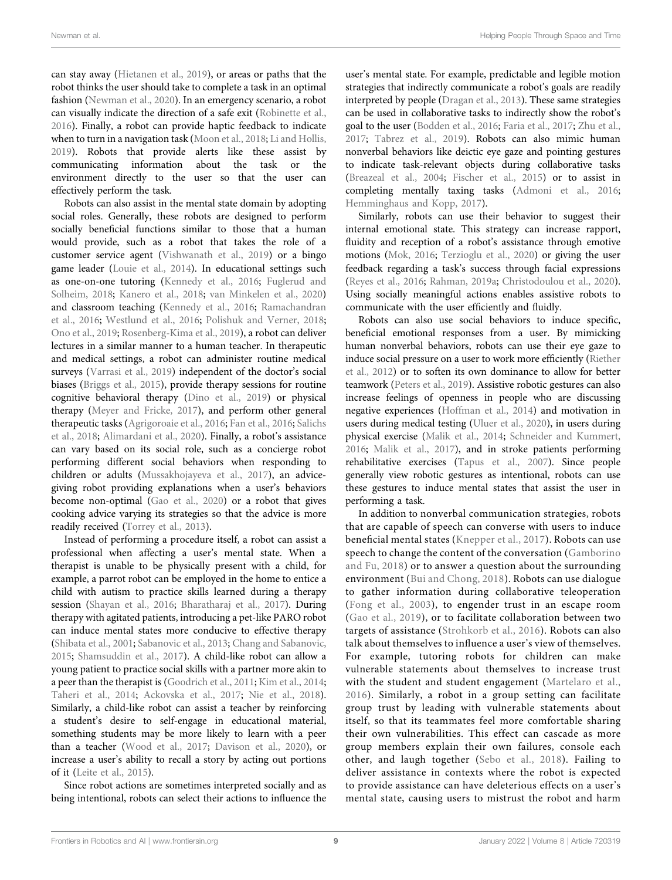can stay away [\(Hietanen et al., 2019\)](#page-14-16), or areas or paths that the robot thinks the user should take to complete a task in an optimal fashion [\(Newman et al., 2020\)](#page-16-14). In an emergency scenario, a robot can visually indicate the direction of a safe exit ([Robinette et al.,](#page-17-12) [2016](#page-17-12)). Finally, a robot can provide haptic feedback to indicate when to turn in a navigation task ([Moon et al., 2018;](#page-16-15) [Li and Hollis,](#page-15-18) [2019](#page-15-18)). Robots that provide alerts like these assist by communicating information about the task or the environment directly to the user so that the user can effectively perform the task.

Robots can also assist in the mental state domain by adopting social roles. Generally, these robots are designed to perform socially beneficial functions similar to those that a human would provide, such as a robot that takes the role of a customer service agent [\(Vishwanath et al., 2019](#page-18-12)) or a bingo game leader ([Louie et al., 2014](#page-15-19)). In educational settings such as one-on-one tutoring ([Kennedy et al., 2016](#page-14-17); [Fuglerud and](#page-13-20) [Solheim, 2018;](#page-13-20) [Kanero et al., 2018](#page-14-18); [van Minkelen et al., 2020\)](#page-18-13) and classroom teaching [\(Kennedy et al., 2016](#page-14-17); [Ramachandran](#page-17-13) [et al., 2016](#page-17-13); [Westlund et al., 2016;](#page-18-14) [Polishuk and Verner, 2018](#page-16-1); [Ono et al., 2019;](#page-16-16) [Rosenberg-Kima et al., 2019\)](#page-17-2), a robot can deliver lectures in a similar manner to a human teacher. In therapeutic and medical settings, a robot can administer routine medical surveys ([Varrasi et al., 2019](#page-18-2)) independent of the doctor's social biases ([Briggs et al., 2015](#page-12-2)), provide therapy sessions for routine cognitive behavioral therapy [\(Dino et al., 2019\)](#page-13-3) or physical therapy [\(Meyer and Fricke, 2017](#page-15-20)), and perform other general therapeutic tasks ([Agrigoroaie et al., 2016;](#page-12-17) [Fan et al., 2016](#page-13-4); [Salichs](#page-17-14) [et al., 2018](#page-17-14); [Alimardani et al., 2020](#page-12-1)). Finally, a robot's assistance can vary based on its social role, such as a concierge robot performing different social behaviors when responding to children or adults [\(Mussakhojayeva et al., 2017\)](#page-16-17), an advicegiving robot providing explanations when a user's behaviors become non-optimal ([Gao et al., 2020\)](#page-13-21) or a robot that gives cooking advice varying its strategies so that the advice is more readily received [\(Torrey et al., 2013](#page-18-15)).

Instead of performing a procedure itself, a robot can assist a professional when affecting a user's mental state. When a therapist is unable to be physically present with a child, for example, a parrot robot can be employed in the home to entice a child with autism to practice skills learned during a therapy session [\(Shayan et al., 2016](#page-17-1); [Bharatharaj et al., 2017\)](#page-12-18). During therapy with agitated patients, introducing a pet-like PARO robot can induce mental states more conducive to effective therapy ([Shibata et al., 2001](#page-17-15); [Sabanovic et al., 2013;](#page-17-16) [Chang and Sabanovic,](#page-13-22) [2015](#page-13-22); [Shamsuddin et al., 2017\)](#page-17-17). A child-like robot can allow a young patient to practice social skills with a partner more akin to a peer than the therapist is [\(Goodrich et al., 2011](#page-14-19); [Kim et al., 2014](#page-14-20); [Taheri et al., 2014](#page-18-16); [Ackovska et al., 2017;](#page-12-19) [Nie et al., 2018\)](#page-16-18). Similarly, a child-like robot can assist a teacher by reinforcing a student's desire to self-engage in educational material, something students may be more likely to learn with a peer than a teacher ([Wood et al., 2017;](#page-18-17) [Davison et al., 2020](#page-13-2)), or increase a user's ability to recall a story by acting out portions of it ([Leite et al., 2015\)](#page-15-1).

Since robot actions are sometimes interpreted socially and as being intentional, robots can select their actions to influence the

user's mental state. For example, predictable and legible motion strategies that indirectly communicate a robot's goals are readily interpreted by people ([Dragan et al., 2013\)](#page-13-23). These same strategies can be used in collaborative tasks to indirectly show the robot's goal to the user ([Bodden et al., 2016](#page-12-20); [Faria et al., 2017;](#page-13-24) [Zhu et al.,](#page-19-1) [2017](#page-19-1); [Tabrez et al., 2019\)](#page-18-18). Robots can also mimic human nonverbal behaviors like deictic eye gaze and pointing gestures to indicate task-relevant objects during collaborative tasks [\(Breazeal et al., 2004](#page-12-21); [Fischer et al., 2015\)](#page-13-25) or to assist in completing mentally taxing tasks ([Admoni et al., 2016;](#page-12-22) [Hemminghaus and Kopp, 2017\)](#page-14-21).

Similarly, robots can use their behavior to suggest their internal emotional state. This strategy can increase rapport, fluidity and reception of a robot's assistance through emotive motions [\(Mok, 2016;](#page-16-10) [Terzioglu et al., 2020](#page-18-19)) or giving the user feedback regarding a task's success through facial expressions [\(Reyes et al., 2016;](#page-17-18) [Rahman, 2019a;](#page-16-19) [Christodoulou et al., 2020\)](#page-13-1). Using socially meaningful actions enables assistive robots to communicate with the user efficiently and fluidly.

Robots can also use social behaviors to induce specific, beneficial emotional responses from a user. By mimicking human nonverbal behaviors, robots can use their eye gaze to induce social pressure on a user to work more efficiently [\(Riether](#page-17-19) [et al., 2012](#page-17-19)) or to soften its own dominance to allow for better teamwork ([Peters et al., 2019\)](#page-16-20). Assistive robotic gestures can also increase feelings of openness in people who are discussing negative experiences [\(Hoffman et al., 2014](#page-14-22)) and motivation in users during medical testing [\(Uluer et al., 2020](#page-18-20)), in users during physical exercise [\(Malik et al., 2014](#page-15-21); [Schneider and Kummert,](#page-17-0) [2016](#page-17-0); [Malik et al., 2017](#page-15-22)), and in stroke patients performing rehabilitative exercises ([Tapus et al., 2007\)](#page-18-1). Since people generally view robotic gestures as intentional, robots can use these gestures to induce mental states that assist the user in performing a task.

In addition to nonverbal communication strategies, robots that are capable of speech can converse with users to induce beneficial mental states ([Knepper et al., 2017](#page-14-23)). Robots can use speech to change the content of the conversation ([Gamborino](#page-13-26) [and Fu, 2018](#page-13-26)) or to answer a question about the surrounding environment ([Bui and Chong, 2018\)](#page-12-23). Robots can use dialogue to gather information during collaborative teleoperation ([Fong et al., 2003](#page-13-0)), to engender trust in an escape room ([Gao et al., 2019](#page-13-27)), or to facilitate collaboration between two targets of assistance ([Strohkorb et al., 2016\)](#page-18-21). Robots can also talk about themselves to influence a user's view of themselves. For example, tutoring robots for children can make vulnerable statements about themselves to increase trust with the student and student engagement ([Martelaro et al.,](#page-15-2) [2016](#page-15-2)). Similarly, a robot in a group setting can facilitate group trust by leading with vulnerable statements about itself, so that its teammates feel more comfortable sharing their own vulnerabilities. This effect can cascade as more group members explain their own failures, console each other, and laugh together ([Sebo et al., 2018\)](#page-17-20). Failing to deliver assistance in contexts where the robot is expected to provide assistance can have deleterious effects on a user's mental state, causing users to mistrust the robot and harm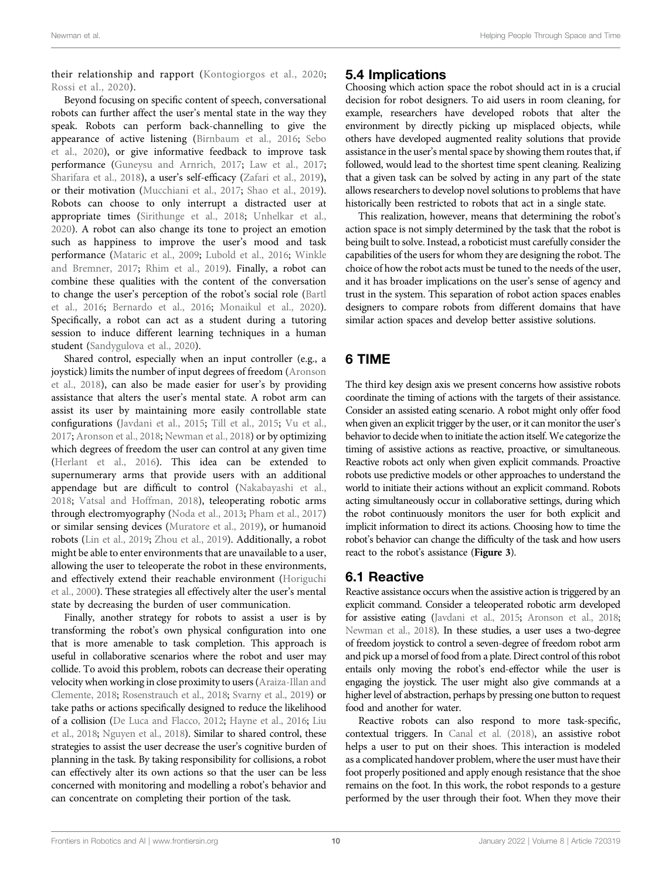their relationship and rapport ([Kontogiorgos et al., 2020](#page-14-24); [Rossi et al., 2020\)](#page-17-21).

Beyond focusing on specific content of speech, conversational robots can further affect the user's mental state in the way they speak. Robots can perform back-channelling to give the appearance of active listening [\(Birnbaum et al., 2016;](#page-12-24) [Sebo](#page-17-22) [et al., 2020\)](#page-17-22), or give informative feedback to improve task performance ([Guneysu and Arnrich, 2017](#page-14-25); [Law et al., 2017](#page-15-23); [Sharifara et al., 2018\)](#page-17-23), a user's self-efficacy ([Zafari et al., 2019\)](#page-18-22), or their motivation ([Mucchiani et al., 2017](#page-16-21); [Shao et al., 2019\)](#page-17-24). Robots can choose to only interrupt a distracted user at appropriate times ([Sirithunge et al., 2018;](#page-17-25) [Unhelkar et al.,](#page-18-23) [2020](#page-18-23)). A robot can also change its tone to project an emotion such as happiness to improve the user's mood and task performance [\(Mataric et al., 2009](#page-15-24); [Lubold et al., 2016;](#page-15-25) [Winkle](#page-18-24) [and Bremner, 2017](#page-18-24); [Rhim et al., 2019\)](#page-17-26). Finally, a robot can combine these qualities with the content of the conversation to change the user's perception of the robot's social role ([Bartl](#page-12-25) [et al., 2016](#page-12-25); [Bernardo et al., 2016](#page-12-26); [Monaikul et al., 2020\)](#page-16-22). Specifically, a robot can act as a student during a tutoring session to induce different learning techniques in a human student ([Sandygulova et al., 2020\)](#page-17-27).

Shared control, especially when an input controller (e.g., a joystick) limits the number of input degrees of freedom [\(Aronson](#page-12-27) [et al., 2018](#page-12-27)), can also be made easier for user's by providing assistance that alters the user's mental state. A robot arm can assist its user by maintaining more easily controllable state configurations ([Javdani et al., 2015](#page-14-26); [Till et al., 2015;](#page-18-25) [Vu et al.,](#page-18-26) [2017](#page-18-26); [Aronson et al., 2018](#page-12-27); [Newman et al., 2018\)](#page-16-23) or by optimizing which degrees of freedom the user can control at any given time ([Herlant et al., 2016](#page-14-27)). This idea can be extended to supernumerary arms that provide users with an additional appendage but are difficult to control ([Nakabayashi et al.,](#page-16-24) [2018](#page-16-24); [Vatsal and Hoffman, 2018\)](#page-18-27), teleoperating robotic arms through electromyography [\(Noda et al., 2013](#page-16-25); [Pham et al., 2017\)](#page-16-26) or similar sensing devices ([Muratore et al., 2019\)](#page-16-27), or humanoid robots [\(Lin et al., 2019](#page-15-26); [Zhou et al., 2019](#page-18-28)). Additionally, a robot might be able to enter environments that are unavailable to a user, allowing the user to teleoperate the robot in these environments, and effectively extend their reachable environment ([Horiguchi](#page-14-28) [et al., 2000\)](#page-14-28). These strategies all effectively alter the user's mental state by decreasing the burden of user communication.

Finally, another strategy for robots to assist a user is by transforming the robot's own physical configuration into one that is more amenable to task completion. This approach is useful in collaborative scenarios where the robot and user may collide. To avoid this problem, robots can decrease their operating velocity when working in close proximity to users [\(Araiza-Illan and](#page-12-28) [Clemente, 2018](#page-12-28); [Rosenstrauch et al., 2018](#page-17-28); [Svarny et al., 2019\)](#page-18-29) or take paths or actions specifically designed to reduce the likelihood of a collision [\(De Luca and Flacco, 2012](#page-13-28); [Hayne et al., 2016;](#page-14-29) [Liu](#page-15-27) [et al., 2018;](#page-15-27) [Nguyen et al., 2018\)](#page-16-28). Similar to shared control, these strategies to assist the user decrease the user's cognitive burden of planning in the task. By taking responsibility for collisions, a robot can effectively alter its own actions so that the user can be less concerned with monitoring and modelling a robot's behavior and can concentrate on completing their portion of the task.

# 5.4 Implications

Choosing which action space the robot should act in is a crucial decision for robot designers. To aid users in room cleaning, for example, researchers have developed robots that alter the environment by directly picking up misplaced objects, while others have developed augmented reality solutions that provide assistance in the user's mental space by showing them routes that, if followed, would lead to the shortest time spent cleaning. Realizing that a given task can be solved by acting in any part of the state allows researchers to develop novel solutions to problems that have historically been restricted to robots that act in a single state.

This realization, however, means that determining the robot's action space is not simply determined by the task that the robot is being built to solve. Instead, a roboticist must carefully consider the capabilities of the users for whom they are designing the robot. The choice of how the robot acts must be tuned to the needs of the user, and it has broader implications on the user's sense of agency and trust in the system. This separation of robot action spaces enables designers to compare robots from different domains that have similar action spaces and develop better assistive solutions.

# <span id="page-9-0"></span>6 TIME

The third key design axis we present concerns how assistive robots coordinate the timing of actions with the targets of their assistance. Consider an assisted eating scenario. A robot might only offer food when given an explicit trigger by the user, or it can monitor the user's behavior to decide when to initiate the action itself.We categorize the timing of assistive actions as reactive, proactive, or simultaneous. Reactive robots act only when given explicit commands. Proactive robots use predictive models or other approaches to understand the world to initiate their actions without an explicit command. Robots acting simultaneously occur in collaborative settings, during which the robot continuously monitors the user for both explicit and implicit information to direct its actions. Choosing how to time the robot's behavior can change the difficulty of the task and how users react to the robot's assistance ([Figure 3](#page-10-0)).

# 6.1 Reactive

Reactive assistance occurs when the assistive action is triggered by an explicit command. Consider a teleoperated robotic arm developed for assistive eating [\(Javdani et al., 2015;](#page-14-26) [Aronson et al., 2018;](#page-12-27) [Newman et al., 2018](#page-16-23)). In these studies, a user uses a two-degree of freedom joystick to control a seven-degree of freedom robot arm and pick up a morsel of food from a plate. Direct control of this robot entails only moving the robot's end-effector while the user is engaging the joystick. The user might also give commands at a higher level of abstraction, perhaps by pressing one button to request food and another for water.

Reactive robots can also respond to more task-specific, contextual triggers. In [Canal et al. \(2018\),](#page-12-9) an assistive robot helps a user to put on their shoes. This interaction is modeled as a complicated handover problem, where the user must have their foot properly positioned and apply enough resistance that the shoe remains on the foot. In this work, the robot responds to a gesture performed by the user through their foot. When they move their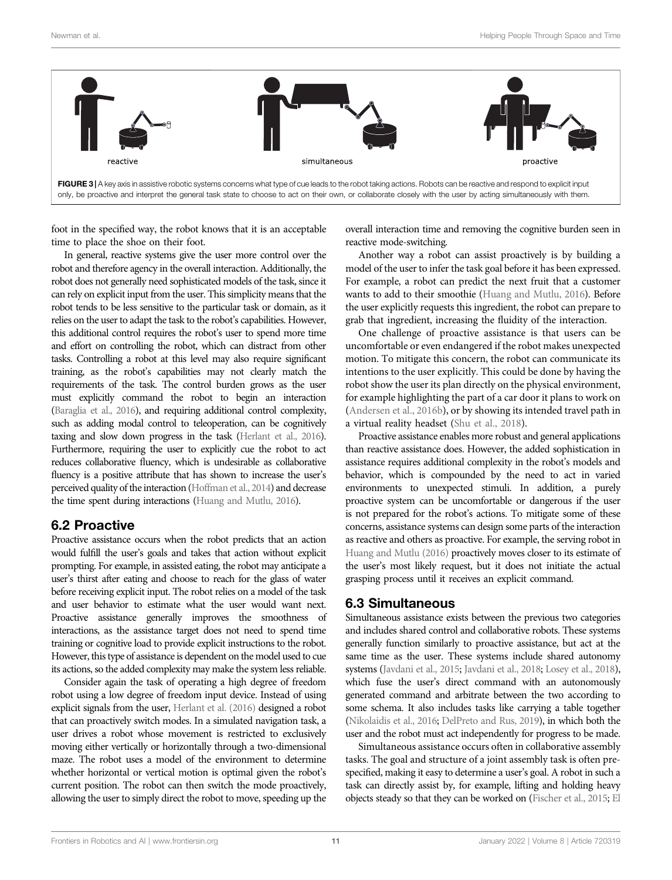

<span id="page-10-0"></span>foot in the specified way, the robot knows that it is an acceptable time to place the shoe on their foot.

In general, reactive systems give the user more control over the robot and therefore agency in the overall interaction. Additionally, the robot does not generally need sophisticated models of the task, since it can rely on explicit input from the user. This simplicity means that the robot tends to be less sensitive to the particular task or domain, as it relies on the user to adapt the task to the robot's capabilities. However, this additional control requires the robot's user to spend more time and effort on controlling the robot, which can distract from other tasks. Controlling a robot at this level may also require significant training, as the robot's capabilities may not clearly match the requirements of the task. The control burden grows as the user must explicitly command the robot to begin an interaction [\(Baraglia et al., 2016\)](#page-12-6), and requiring additional control complexity, such as adding modal control to teleoperation, can be cognitively taxing and slow down progress in the task [\(Herlant et al., 2016](#page-14-27)). Furthermore, requiring the user to explicitly cue the robot to act reduces collaborative fluency, which is undesirable as collaborative fluency is a positive attribute that has shown to increase the user's perceived quality of the interaction ([Hoffman et al., 2014\)](#page-14-22) and decrease the time spent during interactions [\(Huang and Mutlu, 2016\)](#page-14-7).

### 6.2 Proactive

Proactive assistance occurs when the robot predicts that an action would fulfill the user's goals and takes that action without explicit prompting. For example, in assisted eating, the robot may anticipate a user's thirst after eating and choose to reach for the glass of water before receiving explicit input. The robot relies on a model of the task and user behavior to estimate what the user would want next. Proactive assistance generally improves the smoothness of interactions, as the assistance target does not need to spend time training or cognitive load to provide explicit instructions to the robot. However, this type of assistance is dependent on the model used to cue its actions, so the added complexity may make the system less reliable.

Consider again the task of operating a high degree of freedom robot using a low degree of freedom input device. Instead of using explicit signals from the user, [Herlant et al. \(2016\)](#page-14-27) designed a robot that can proactively switch modes. In a simulated navigation task, a user drives a robot whose movement is restricted to exclusively moving either vertically or horizontally through a two-dimensional maze. The robot uses a model of the environment to determine whether horizontal or vertical motion is optimal given the robot's current position. The robot can then switch the mode proactively, allowing the user to simply direct the robot to move, speeding up the overall interaction time and removing the cognitive burden seen in reactive mode-switching.

Another way a robot can assist proactively is by building a model of the user to infer the task goal before it has been expressed. For example, a robot can predict the next fruit that a customer wants to add to their smoothie ([Huang and Mutlu, 2016](#page-14-7)). Before the user explicitly requests this ingredient, the robot can prepare to grab that ingredient, increasing the fluidity of the interaction.

One challenge of proactive assistance is that users can be uncomfortable or even endangered if the robot makes unexpected motion. To mitigate this concern, the robot can communicate its intentions to the user explicitly. This could be done by having the robot show the user its plan directly on the physical environment, for example highlighting the part of a car door it plans to work on [\(Andersen et al., 2016b](#page-12-16)), or by showing its intended travel path in a virtual reality headset ([Shu et al., 2018\)](#page-17-11).

Proactive assistance enables more robust and general applications than reactive assistance does. However, the added sophistication in assistance requires additional complexity in the robot's models and behavior, which is compounded by the need to act in varied environments to unexpected stimuli. In addition, a purely proactive system can be uncomfortable or dangerous if the user is not prepared for the robot's actions. To mitigate some of these concerns, assistance systems can design some parts of the interaction as reactive and others as proactive. For example, the serving robot in [Huang and Mutlu \(2016\)](#page-14-7) proactively moves closer to its estimate of the user's most likely request, but it does not initiate the actual grasping process until it receives an explicit command.

# 6.3 Simultaneous

Simultaneous assistance exists between the previous two categories and includes shared control and collaborative robots. These systems generally function similarly to proactive assistance, but act at the same time as the user. These systems include shared autonomy systems [\(Javdani et al., 2015](#page-14-26); [Javdani et al., 2018](#page-14-30); [Losey et al., 2018\)](#page-15-28), which fuse the user's direct command with an autonomously generated command and arbitrate between the two according to some schema. It also includes tasks like carrying a table together [\(Nikolaidis et al., 2016](#page-16-8); [DelPreto and Rus, 2019\)](#page-13-11), in which both the user and the robot must act independently for progress to be made.

Simultaneous assistance occurs often in collaborative assembly tasks. The goal and structure of a joint assembly task is often prespecified, making it easy to determine a user's goal. A robot in such a task can directly assist by, for example, lifting and holding heavy objects steady so that they can be worked on ([Fischer et al., 2015](#page-13-25); [El](#page-13-9)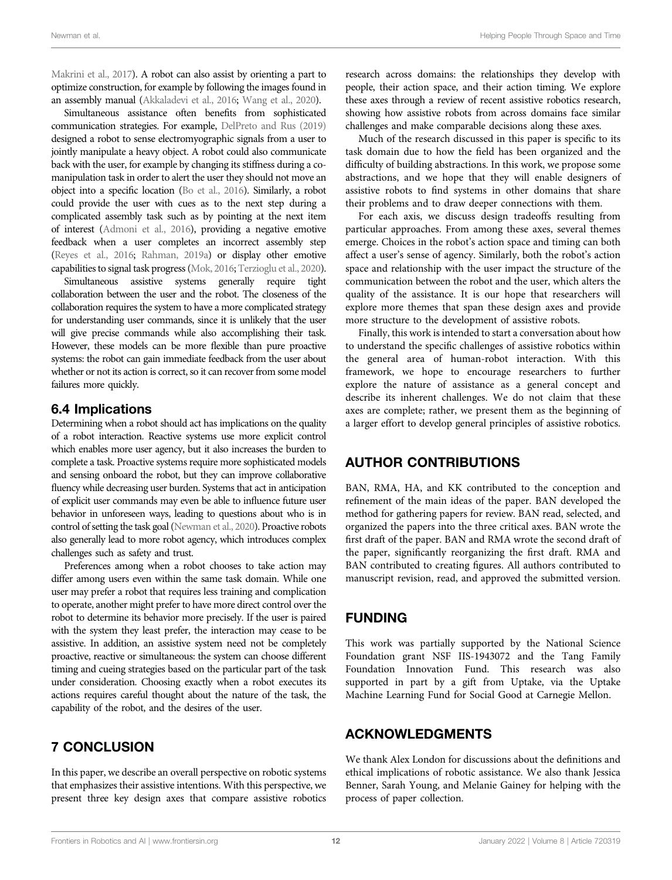[Makrini et al., 2017\)](#page-13-9). A robot can also assist by orienting a part to optimize construction, for example by following the images found in an assembly manual [\(Akkaladevi et al., 2016;](#page-12-5) [Wang et al., 2020\)](#page-18-7).

Simultaneous assistance often benefits from sophisticated communication strategies. For example, [DelPreto and Rus \(2019\)](#page-13-11) designed a robot to sense electromyographic signals from a user to jointly manipulate a heavy object. A robot could also communicate back with the user, for example by changing its stiffness during a comanipulation task in order to alert the user they should not move an object into a specific location [\(Bo et al., 2016\)](#page-12-13). Similarly, a robot could provide the user with cues as to the next step during a complicated assembly task such as by pointing at the next item of interest [\(Admoni et al., 2016\)](#page-12-22), providing a negative emotive feedback when a user completes an incorrect assembly step [\(Reyes et al., 2016](#page-17-18); [Rahman, 2019a](#page-16-19)) or display other emotive capabilities to signal task progress [\(Mok, 2016](#page-16-10); [Terzioglu et al., 2020](#page-18-19)).

Simultaneous assistive systems generally require tight collaboration between the user and the robot. The closeness of the collaboration requires the system to have a more complicated strategy for understanding user commands, since it is unlikely that the user will give precise commands while also accomplishing their task. However, these models can be more flexible than pure proactive systems: the robot can gain immediate feedback from the user about whether or not its action is correct, so it can recover from some model failures more quickly.

#### 6.4 Implications

Determining when a robot should act has implications on the quality of a robot interaction. Reactive systems use more explicit control which enables more user agency, but it also increases the burden to complete a task. Proactive systems require more sophisticated models and sensing onboard the robot, but they can improve collaborative fluency while decreasing user burden. Systems that act in anticipation of explicit user commands may even be able to influence future user behavior in unforeseen ways, leading to questions about who is in control of setting the task goal [\(Newman et al., 2020](#page-16-6)). Proactive robots also generally lead to more robot agency, which introduces complex challenges such as safety and trust.

Preferences among when a robot chooses to take action may differ among users even within the same task domain. While one user may prefer a robot that requires less training and complication to operate, another might prefer to have more direct control over the robot to determine its behavior more precisely. If the user is paired with the system they least prefer, the interaction may cease to be assistive. In addition, an assistive system need not be completely proactive, reactive or simultaneous: the system can choose different timing and cueing strategies based on the particular part of the task under consideration. Choosing exactly when a robot executes its actions requires careful thought about the nature of the task, the capability of the robot, and the desires of the user.

# 7 CONCLUSION

In this paper, we describe an overall perspective on robotic systems that emphasizes their assistive intentions. With this perspective, we present three key design axes that compare assistive robotics research across domains: the relationships they develop with people, their action space, and their action timing. We explore these axes through a review of recent assistive robotics research, showing how assistive robots from across domains face similar challenges and make comparable decisions along these axes.

Much of the research discussed in this paper is specific to its task domain due to how the field has been organized and the difficulty of building abstractions. In this work, we propose some abstractions, and we hope that they will enable designers of assistive robots to find systems in other domains that share their problems and to draw deeper connections with them.

For each axis, we discuss design tradeoffs resulting from particular approaches. From among these axes, several themes emerge. Choices in the robot's action space and timing can both affect a user's sense of agency. Similarly, both the robot's action space and relationship with the user impact the structure of the communication between the robot and the user, which alters the quality of the assistance. It is our hope that researchers will explore more themes that span these design axes and provide more structure to the development of assistive robots.

Finally, this work is intended to start a conversation about how to understand the specific challenges of assistive robotics within the general area of human-robot interaction. With this framework, we hope to encourage researchers to further explore the nature of assistance as a general concept and describe its inherent challenges. We do not claim that these axes are complete; rather, we present them as the beginning of a larger effort to develop general principles of assistive robotics.

# AUTHOR CONTRIBUTIONS

BAN, RMA, HA, and KK contributed to the conception and refinement of the main ideas of the paper. BAN developed the method for gathering papers for review. BAN read, selected, and organized the papers into the three critical axes. BAN wrote the first draft of the paper. BAN and RMA wrote the second draft of the paper, significantly reorganizing the first draft. RMA and BAN contributed to creating figures. All authors contributed to manuscript revision, read, and approved the submitted version.

### FUNDING

This work was partially supported by the National Science Foundation grant NSF IIS-1943072 and the Tang Family Foundation Innovation Fund. This research was also supported in part by a gift from Uptake, via the Uptake Machine Learning Fund for Social Good at Carnegie Mellon.

### ACKNOWLEDGMENTS

We thank Alex London for discussions about the definitions and ethical implications of robotic assistance. We also thank Jessica Benner, Sarah Young, and Melanie Gainey for helping with the process of paper collection.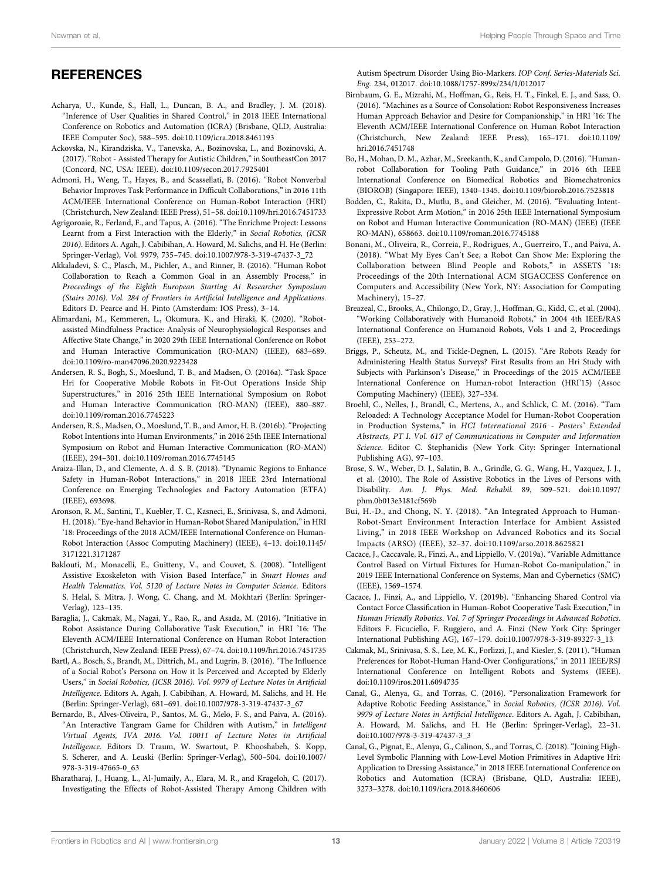# **REFERENCES**

- <span id="page-12-10"></span>Acharya, U., Kunde, S., Hall, L., Duncan, B. A., and Bradley, J. M. (2018). "Inference of User Qualities in Shared Control," in 2018 IEEE International Conference on Robotics and Automation (ICRA) (Brisbane, QLD, Australia: IEEE Computer Soc), 588–595. doi:[10.1109/icra.2018.8461193](https://doi.org/10.1109/icra.2018.8461193)
- <span id="page-12-19"></span>Ackovska, N., Kirandziska, V., Tanevska, A., Bozinovska, L., and Bozinovski, A. (2017). "Robot - Assisted Therapy for Autistic Children," in SoutheastCon 2017 (Concord, NC, USA: IEEE). doi[:10.1109/secon.2017.7925401](https://doi.org/10.1109/secon.2017.7925401)
- <span id="page-12-22"></span>Admoni, H., Weng, T., Hayes, B., and Scassellati, B. (2016). "Robot Nonverbal Behavior Improves Task Performance in Difficult Collaborations," in 2016 11th ACM/IEEE International Conference on Human-Robot Interaction (HRI) (Christchurch, New Zealand: IEEE Press), 51–58. doi[:10.1109/hri.2016.7451733](https://doi.org/10.1109/hri.2016.7451733)
- <span id="page-12-17"></span>Agrigoroaie, R., Ferland, F., and Tapus, A. (2016). "The Enrichme Project: Lessons Learnt from a First Interaction with the Elderly," in Social Robotics, (ICSR 2016). Editors A. Agah, J. Cabibihan, A. Howard, M. Salichs, and H. He (Berlin: Springer-Verlag), Vol. 9979, 735–745. doi:[10.1007/978-3-319-47437-3\\_72](https://doi.org/10.1007/978-3-319-47437-3_72)
- <span id="page-12-5"></span>Akkaladevi, S. C., Plasch, M., Pichler, A., and Rinner, B. (2016). "Human Robot Collaboration to Reach a Common Goal in an Assembly Process," in Proceedings of the Eighth European Starting Ai Researcher Symposium (Stairs 2016). Vol. 284 of Frontiers in Artificial Intelligence and Applications. Editors D. Pearce and H. Pinto (Amsterdam: IOS Press), 3–14.
- <span id="page-12-1"></span>Alimardani, M., Kemmeren, L., Okumura, K., and Hiraki, K. (2020). "Robotassisted Mindfulness Practice: Analysis of Neurophysiological Responses and Affective State Change," in 2020 29th IEEE International Conference on Robot and Human Interactive Communication (RO-MAN) (IEEE), 683–689. doi:[10.1109/ro-man47096.2020.9223428](https://doi.org/10.1109/ro-man47096.2020.9223428)
- <span id="page-12-4"></span>Andersen, R. S., Bogh, S., Moeslund, T. B., and Madsen, O. (2016a). "Task Space Hri for Cooperative Mobile Robots in Fit-Out Operations Inside Ship Superstructures," in 2016 25th IEEE International Symposium on Robot and Human Interactive Communication (RO-MAN) (IEEE), 880–887. doi:[10.1109/roman.2016.7745223](https://doi.org/10.1109/roman.2016.7745223)
- <span id="page-12-16"></span>Andersen, R. S., Madsen, O., Moeslund, T. B., and Amor, H. B. (2016b)."Projecting Robot Intentions into Human Environments," in 2016 25th IEEE International Symposium on Robot and Human Interactive Communication (RO-MAN) (IEEE), 294–301. doi[:10.1109/roman.2016.7745145](https://doi.org/10.1109/roman.2016.7745145)
- <span id="page-12-28"></span>Araiza-Illan, D., and Clemente, A. d. S. B. (2018). "Dynamic Regions to Enhance Safety in Human-Robot Interactions," in 2018 IEEE 23rd International Conference on Emerging Technologies and Factory Automation (ETFA) (IEEE), 693698.
- <span id="page-12-27"></span>Aronson, R. M., Santini, T., Kuebler, T. C., Kasneci, E., Srinivasa, S., and Admoni, H. (2018). "Eye-hand Behavior in Human-Robot Shared Manipulation,"in HRI '18: Proceedings of the 2018 ACM/IEEE International Conference on Human-Robot Interaction (Assoc Computing Machinery) (IEEE), 4–13. doi:[10.1145/](https://doi.org/10.1145/3171221.3171287) [3171221.3171287](https://doi.org/10.1145/3171221.3171287)
- <span id="page-12-11"></span>Baklouti, M., Monacelli, E., Guitteny, V., and Couvet, S. (2008). "Intelligent Assistive Exoskeleton with Vision Based Interface," in Smart Homes and Health Telematics. Vol. 5120 of Lecture Notes in Computer Science. Editors S. Helal, S. Mitra, J. Wong, C. Chang, and M. Mokhtari (Berlin: Springer-Verlag), 123–135.
- <span id="page-12-6"></span>Baraglia, J., Cakmak, M., Nagai, Y., Rao, R., and Asada, M. (2016). "Initiative in Robot Assistance During Collaborative Task Execution," in HRI '16: The Eleventh ACM/IEEE International Conference on Human Robot Interaction (Christchurch, New Zealand: IEEE Press), 67–74. doi[:10.1109/hri.2016.7451735](https://doi.org/10.1109/hri.2016.7451735)
- <span id="page-12-25"></span>Bartl, A., Bosch, S., Brandt, M., Dittrich, M., and Lugrin, B. (2016). "The Influence of a Social Robot's Persona on How it Is Perceived and Accepted by Elderly Users," in Social Robotics, (ICSR 2016). Vol. 9979 of Lecture Notes in Artificial Intelligence. Editors A. Agah, J. Cabibihan, A. Howard, M. Salichs, and H. He (Berlin: Springer-Verlag), 681–691. doi[:10.1007/978-3-319-47437-3\\_67](https://doi.org/10.1007/978-3-319-47437-3_67)
- <span id="page-12-26"></span>Bernardo, B., Alves-Oliveira, P., Santos, M. G., Melo, F. S., and Paiva, A. (2016). "An Interactive Tangram Game for Children with Autism," in Intelligent Virtual Agents, IVA 2016. Vol. 10011 of Lecture Notes in Artificial Intelligence. Editors D. Traum, W. Swartout, P. Khooshabeh, S. Kopp, S. Scherer, and A. Leuski (Berlin: Springer-Verlag), 500–504. doi:[10.1007/](https://doi.org/10.1007/978-3-319-47665-0_63) [978-3-319-47665-0\\_63](https://doi.org/10.1007/978-3-319-47665-0_63)
- <span id="page-12-18"></span>Bharatharaj, J., Huang, L., Al-Jumaily, A., Elara, M. R., and Krageloh, C. (2017). Investigating the Effects of Robot-Assisted Therapy Among Children with

Autism Spectrum Disorder Using Bio-Markers. IOP Conf. Series-Materials Sci. Eng. 234, 012017. doi[:10.1088/1757-899x/234/1/012017](https://doi.org/10.1088/1757-899x/234/1/012017)

- <span id="page-12-24"></span>Birnbaum, G. E., Mizrahi, M., Hoffman, G., Reis, H. T., Finkel, E. J., and Sass, O. (2016). "Machines as a Source of Consolation: Robot Responsiveness Increases Human Approach Behavior and Desire for Companionship," in HRI '16: The Eleventh ACM/IEEE International Conference on Human Robot Interaction (Christchurch, New Zealand: IEEE Press), 165–171. doi[:10.1109/](https://doi.org/10.1109/hri.2016.7451748) [hri.2016.7451748](https://doi.org/10.1109/hri.2016.7451748)
- <span id="page-12-13"></span>Bo, H., Mohan, D. M., Azhar, M., Sreekanth, K., and Campolo, D. (2016)."Humanrobot Collaboration for Tooling Path Guidance," in 2016 6th IEEE International Conference on Biomedical Robotics and Biomechatronics (BIOROB) (Singapore: IEEE), 1340–1345. doi:[10.1109/biorob.2016.7523818](https://doi.org/10.1109/biorob.2016.7523818)
- <span id="page-12-20"></span>Bodden, C., Rakita, D., Mutlu, B., and Gleicher, M. (2016). "Evaluating Intent-Expressive Robot Arm Motion," in 2016 25th IEEE International Symposium on Robot and Human Interactive Communication (RO-MAN) (IEEE) (IEEE RO-MAN), 658663. doi:[10.1109/roman.2016.7745188](https://doi.org/10.1109/roman.2016.7745188)
- <span id="page-12-12"></span>Bonani, M., Oliveira, R., Correia, F., Rodrigues, A., Guerreiro, T., and Paiva, A. (2018). "What My Eyes Can't See, a Robot Can Show Me: Exploring the Collaboration between Blind People and Robots," in ASSETS '18: Proceedings of the 20th International ACM SIGACCESS Conference on Computers and Accessibility (New York, NY: Association for Computing Machinery), 15–27.
- <span id="page-12-21"></span>Breazeal, C., Brooks, A., Chilongo, D., Gray, J., Hoffman, G., Kidd, C., et al. (2004). "Working Collaboratively with Humanoid Robots," in 2004 4th IEEE/RAS International Conference on Humanoid Robots, Vols 1 and 2, Proceedings (IEEE), 253–272.
- <span id="page-12-2"></span>Briggs, P., Scheutz, M., and Tickle-Degnen, L. (2015). "Are Robots Ready for Administering Health Status Surveys? First Results from an Hri Study with Subjects with Parkinson's Disease," in Proceedings of the 2015 ACM/IEEE International Conference on Human-robot Interaction (HRI'15) (Assoc Computing Machinery) (IEEE), 327–334.
- <span id="page-12-8"></span>Broehl, C., Nelles, J., Brandl, C., Mertens, A., and Schlick, C. M. (2016). "Tam Reloaded: A Technology Acceptance Model for Human-Robot Cooperation in Production Systems," in HCI International 2016 - Posters' Extended Abstracts, PT I. Vol. 617 of Communications in Computer and Information Science. Editor C. Stephanidis (New York City: Springer International Publishing AG), 97–103.
- <span id="page-12-0"></span>Brose, S. W., Weber, D. J., Salatin, B. A., Grindle, G. G., Wang, H., Vazquez, J. J., et al. (2010). The Role of Assistive Robotics in the Lives of Persons with Disability. Am. J. Phys. Med. Rehabil. 89, 509–521. doi[:10.1097/](https://doi.org/10.1097/phm.0b013e3181cf569b) [phm.0b013e3181cf569b](https://doi.org/10.1097/phm.0b013e3181cf569b)
- <span id="page-12-23"></span>Bui, H.-D., and Chong, N. Y. (2018). "An Integrated Approach to Human-Robot-Smart Environment Interaction Interface for Ambient Assisted Living," in 2018 IEEE Workshop on Advanced Robotics and its Social Impacts (ARSO) (IEEE), 32–37. doi:[10.1109/arso.2018.8625821](https://doi.org/10.1109/arso.2018.8625821)
- <span id="page-12-14"></span>Cacace, J., Caccavale, R., Finzi, A., and Lippiello, V. (2019a). "Variable Admittance Control Based on Virtual Fixtures for Human-Robot Co-manipulation," in 2019 IEEE International Conference on Systems, Man and Cybernetics (SMC) (IEEE), 1569–1574.
- <span id="page-12-15"></span>Cacace, J., Finzi, A., and Lippiello, V. (2019b). "Enhancing Shared Control via Contact Force Classification in Human-Robot Cooperative Task Execution," in Human Friendly Robotics. Vol. 7 of Springer Proceedings in Advanced Robotics. Editors F. Ficuciello, F. Ruggiero, and A. Finzi (New York City: Springer International Publishing AG), 167–179. doi:[10.1007/978-3-319-89327-3\\_13](https://doi.org/10.1007/978-3-319-89327-3_13)
- <span id="page-12-7"></span>Cakmak, M., Srinivasa, S. S., Lee, M. K., Forlizzi, J., and Kiesler, S. (2011). "Human Preferences for Robot-Human Hand-Over Configurations," in 2011 IEEE/RSJ International Conference on Intelligent Robots and Systems (IEEE). doi[:10.1109/iros.2011.6094735](https://doi.org/10.1109/iros.2011.6094735)
- <span id="page-12-3"></span>Canal, G., Alenya, G., and Torras, C. (2016). "Personalization Framework for Adaptive Robotic Feeding Assistance," in Social Robotics, (ICSR 2016). Vol. 9979 of Lecture Notes in Artificial Intelligence. Editors A. Agah, J. Cabibihan, A. Howard, M. Salichs, and H. He (Berlin: Springer-Verlag), 22–31. doi[:10.1007/978-3-319-47437-3\\_3](https://doi.org/10.1007/978-3-319-47437-3_3)
- <span id="page-12-9"></span>Canal, G., Pignat, E., Alenya, G., Calinon, S., and Torras, C. (2018). "Joining High-Level Symbolic Planning with Low-Level Motion Primitives in Adaptive Hri: Application to Dressing Assistance," in 2018 IEEE International Conference on Robotics and Automation (ICRA) (Brisbane, QLD, Australia: IEEE), 3273–3278. doi:[10.1109/icra.2018.8460606](https://doi.org/10.1109/icra.2018.8460606)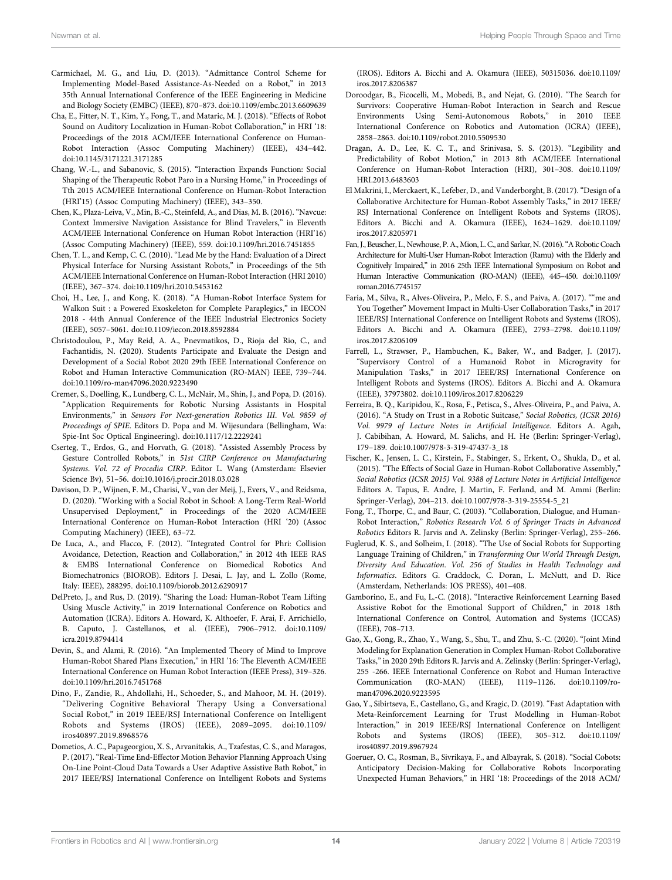- <span id="page-13-16"></span>Carmichael, M. G., and Liu, D. (2013). "Admittance Control Scheme for Implementing Model-Based Assistance-As-Needed on a Robot," in 2013 35th Annual International Conference of the IEEE Engineering in Medicine and Biology Society (EMBC) (IEEE), 870–873. doi:[10.1109/embc.2013.6609639](https://doi.org/10.1109/embc.2013.6609639)
- <span id="page-13-18"></span>Cha, E., Fitter, N. T., Kim, Y., Fong, T., and Mataric, M. J. (2018). "Effects of Robot Sound on Auditory Localization in Human-Robot Collaboration," in HRI '18: Proceedings of the 2018 ACM/IEEE International Conference on Human-Robot Interaction (Assoc Computing Machinery) (IEEE), 434–442. doi:[10.1145/3171221.3171285](https://doi.org/10.1145/3171221.3171285)
- <span id="page-13-22"></span>Chang, W.-L., and Sabanovic, S. (2015). "Interaction Expands Function: Social Shaping of the Therapeutic Robot Paro in a Nursing Home," in Proceedings of Tth 2015 ACM/IEEE International Conference on Human-Robot Interaction (HRI'15) (Assoc Computing Machinery) (IEEE), 343–350.
- <span id="page-13-19"></span>Chen, K., Plaza-Leiva, V., Min, B.-C., Steinfeld, A., and Dias, M. B. (2016)."Navcue: Context Immersive Navigation Assistance for Blind Travelers," in Eleventh ACM/IEEE International Conference on Human Robot Interaction (HRI'16) (Assoc Computing Machinery) (IEEE), 559. doi[:10.1109/hri.2016.7451855](https://doi.org/10.1109/hri.2016.7451855)
- <span id="page-13-17"></span>Chen, T. L., and Kemp, C. C. (2010). "Lead Me by the Hand: Evaluation of a Direct Physical Interface for Nursing Assistant Robots," in Proceedings of the 5th ACM/IEEE International Conference on Human-Robot Interaction (HRI 2010) (IEEE), 367–374. doi[:10.1109/hri.2010.5453162](https://doi.org/10.1109/hri.2010.5453162)
- <span id="page-13-15"></span>Choi, H., Lee, J., and Kong, K. (2018). "A Human-Robot Interface System for Walkon Suit : a Powered Exoskeleton for Complete Paraplegics," in IECON 2018 - 44th Annual Conference of the IEEE Industrial Electronics Society (IEEE), 5057–5061. doi:[10.1109/iecon.2018.8592884](https://doi.org/10.1109/iecon.2018.8592884)
- <span id="page-13-1"></span>Christodoulou, P., May Reid, A. A., Pnevmatikos, D., Rioja del Rio, C., and Fachantidis, N. (2020). Students Participate and Evaluate the Design and Development of a Social Robot 2020 29th IEEE International Conference on Robot and Human Interactive Communication (RO-MAN) IEEE, 739–744. doi:[10.1109/ro-man47096.2020.9223490](https://doi.org/10.1109/ro-man47096.2020.9223490)
- <span id="page-13-5"></span>Cremer, S., Doelling, K., Lundberg, C. L., McNair, M., Shin, J., and Popa, D. (2016). "Application Requirements for Robotic Nursing Assistants in Hospital Environments," in Sensors For Next-generation Robotics III. Vol. 9859 of Proceedings of SPIE. Editors D. Popa and M. Wijesundara (Bellingham, Wa: Spie-Int Soc Optical Engineering). doi:[10.1117/12.2229241](https://doi.org/10.1117/12.2229241)
- <span id="page-13-8"></span>Cserteg, T., Erdos, G., and Horvath, G. (2018). "Assisted Assembly Process by Gesture Controlled Robots," in 51st CIRP Conference on Manufacturing Systems. Vol. 72 of Procedia CIRP. Editor L. Wang (Amsterdam: Elsevier Science Bv), 51–56. doi:[10.1016/j.procir.2018.03.028](https://doi.org/10.1016/j.procir.2018.03.028)
- <span id="page-13-2"></span>Davison, D. P., Wijnen, F. M., Charisi, V., van der Meij, J., Evers, V., and Reidsma, D. (2020). "Working with a Social Robot in School: A Long-Term Real-World Unsupervised Deployment," in Proceedings of the 2020 ACM/IEEE International Conference on Human-Robot Interaction (HRI '20) (Assoc Computing Machinery) (IEEE), 63–72.
- <span id="page-13-28"></span>De Luca, A., and Flacco, F. (2012). "Integrated Control for Phri: Collision Avoidance, Detection, Reaction and Collaboration," in 2012 4th IEEE RAS & EMBS International Conference on Biomedical Robotics And Biomechatronics (BIOROB). Editors J. Desai, L. Jay, and L. Zollo (Rome, Italy: IEEE), 288295. doi[:10.1109/biorob.2012.6290917](https://doi.org/10.1109/biorob.2012.6290917)
- <span id="page-13-11"></span>DelPreto, J., and Rus, D. (2019). "Sharing the Load: Human-Robot Team Lifting Using Muscle Activity," in 2019 International Conference on Robotics and Automation (ICRA). Editors A. Howard, K. Althoefer, F. Arai, F. Arrichiello, B. Caputo, J. Castellanos, et al. (IEEE), 7906–7912. doi:[10.1109/](https://doi.org/10.1109/icra.2019.8794414) [icra.2019.8794414](https://doi.org/10.1109/icra.2019.8794414)
- <span id="page-13-7"></span>Devin, S., and Alami, R. (2016). "An Implemented Theory of Mind to Improve Human-Robot Shared Plans Execution," in HRI '16: The Eleventh ACM/IEEE International Conference on Human Robot Interaction (IEEE Press), 319–326. doi:[10.1109/hri.2016.7451768](https://doi.org/10.1109/hri.2016.7451768)
- <span id="page-13-3"></span>Dino, F., Zandie, R., Ahdollahi, H., Schoeder, S., and Mahoor, M. H. (2019). "Delivering Cognitive Behavioral Therapy Using a Conversational Social Robot," in 2019 IEEE/RSJ International Conference on Intelligent Robots and Systems (IROS) (IEEE), 2089–2095. doi:[10.1109/](https://doi.org/10.1109/iros40897.2019.8968576) [iros40897.2019.8968576](https://doi.org/10.1109/iros40897.2019.8968576)
- <span id="page-13-14"></span>Dometios, A. C., Papageorgiou, X. S., Arvanitakis, A., Tzafestas, C. S., and Maragos, P. (2017)."Real-Time End-Effector Motion Behavior Planning Approach Using On-Line Point-Cloud Data Towards a User Adaptive Assistive Bath Robot," in 2017 IEEE/RSJ International Conference on Intelligent Robots and Systems

(IROS). Editors A. Bicchi and A. Okamura (IEEE), 50315036. doi[:10.1109/](https://doi.org/10.1109/iros.2017.8206387) [iros.2017.8206387](https://doi.org/10.1109/iros.2017.8206387)

- <span id="page-13-6"></span>Doroodgar, B., Ficocelli, M., Mobedi, B., and Nejat, G. (2010). "The Search for Survivors: Cooperative Human-Robot Interaction in Search and Rescue Environments Using Semi-Autonomous Robots," in 2010 IEEE International Conference on Robotics and Automation (ICRA) (IEEE), 2858–2863. doi:[10.1109/robot.2010.5509530](https://doi.org/10.1109/robot.2010.5509530)
- <span id="page-13-23"></span>Dragan, A. D., Lee, K. C. T., and Srinivasa, S. S. (2013). "Legibility and Predictability of Robot Motion," in 2013 8th ACM/IEEE International Conference on Human-Robot Interaction (HRI), 301–308. doi[:10.1109/](https://doi.org/10.1109/HRI.2013.6483603) [HRI.2013.6483603](https://doi.org/10.1109/HRI.2013.6483603)
- <span id="page-13-9"></span>El Makrini, I., Merckaert, K., Lefeber, D., and Vanderborght, B. (2017)."Design of a Collaborative Architecture for Human-Robot Assembly Tasks," in 2017 IEEE/ RSJ International Conference on Intelligent Robots and Systems (IROS). Editors A. Bicchi and A. Okamura (IEEE), 1624–1629. doi[:10.1109/](https://doi.org/10.1109/iros.2017.8205971) [iros.2017.8205971](https://doi.org/10.1109/iros.2017.8205971)
- <span id="page-13-4"></span>Fan, J., Beuscher, L., Newhouse, P. A.,Mion, L. C., and Sarkar, N. (2016)."A Robotic Coach Architecture for Multi-User Human-Robot Interaction (Ramu) with the Elderly and Cognitively Impaired," in 2016 25th IEEE International Symposium on Robot and Human Interactive Communication (RO-MAN) (IEEE), 445–450. doi[:10.1109/](https://doi.org/10.1109/roman.2016.7745157) [roman.2016.7745157](https://doi.org/10.1109/roman.2016.7745157)
- <span id="page-13-24"></span>Faria, M., Silva, R., Alves-Oliveira, P., Melo, F. S., and Paiva, A. (2017). ""me and You Together" Movement Impact in Multi-User Collaboration Tasks," in 2017 IEEE/RSJ International Conference on Intelligent Robots and Systems (IROS). Editors A. Bicchi and A. Okamura (IEEE), 2793–2798. doi[:10.1109/](https://doi.org/10.1109/iros.2017.8206109) [iros.2017.8206109](https://doi.org/10.1109/iros.2017.8206109)
- <span id="page-13-13"></span>Farrell, L., Strawser, P., Hambuchen, K., Baker, W., and Badger, J. (2017). "Supervisory Control of a Humanoid Robot in Microgravity for Manipulation Tasks," in 2017 IEEE/RSJ International Conference on Intelligent Robots and Systems (IROS). Editors A. Bicchi and A. Okamura (IEEE), 37973802. doi[:10.1109/iros.2017.8206229](https://doi.org/10.1109/iros.2017.8206229)
- <span id="page-13-12"></span>Ferreira, B. Q., Karipidou, K., Rosa, F., Petisca, S., Alves-Oliveira, P., and Paiva, A. (2016). "A Study on Trust in a Robotic Suitcase," Social Robotics, (ICSR 2016) Vol. 9979 of Lecture Notes in Artificial Intelligence. Editors A. Agah, J. Cabibihan, A. Howard, M. Salichs, and H. He (Berlin: Springer-Verlag), 179–189. doi:[10.1007/978-3-319-47437-3\\_18](https://doi.org/10.1007/978-3-319-47437-3_18)
- <span id="page-13-25"></span>Fischer, K., Jensen, L. C., Kirstein, F., Stabinger, S., Erkent, O., Shukla, D., et al. (2015). "The Effects of Social Gaze in Human-Robot Collaborative Assembly," Social Robotics (ICSR 2015) Vol. 9388 of Lecture Notes in Artificial Intelligence Editors A. Tapus, E. Andre, J. Martin, F. Ferland, and M. Ammi (Berlin: Springer-Verlag), 204–213. doi[:10.1007/978-3-319-25554-5\\_21](https://doi.org/10.1007/978-3-319-25554-5_21)
- <span id="page-13-0"></span>Fong, T., Thorpe, C., and Baur, C. (2003). "Collaboration, Dialogue, and Human-Robot Interaction," Robotics Research Vol. 6 of Springer Tracts in Advanced Robotics Editors R. Jarvis and A. Zelinsky (Berlin: Springer-Verlag), 255–266.
- <span id="page-13-20"></span>Fuglerud, K. S., and Solheim, I. (2018). "The Use of Social Robots for Supporting Language Training of Children," in Transforming Our World Through Design, Diversity And Education. Vol. 256 of Studies in Health Technology and Informatics. Editors G. Craddock, C. Doran, L. McNutt, and D. Rice (Amsterdam, Netherlands: IOS PRESS), 401–408.
- <span id="page-13-26"></span>Gamborino, E., and Fu, L.-C. (2018). "Interactive Reinforcement Learning Based Assistive Robot for the Emotional Support of Children," in 2018 18th International Conference on Control, Automation and Systems (ICCAS) (IEEE), 708–713.
- <span id="page-13-21"></span>Gao, X., Gong, R., Zhao, Y., Wang, S., Shu, T., and Zhu, S.-C. (2020). "Joint Mind Modeling for Explanation Generation in Complex Human-Robot Collaborative Tasks," in 2020 29th Editors R. Jarvis and A. Zelinsky (Berlin: Springer-Verlag), 255 -266. IEEE International Conference on Robot and Human Interactive Communication (RO-MAN) (IEEE), 1119–1126. doi[:10.1109/ro](https://doi.org/10.1109/ro-man47096.2020.9223595)[man47096.2020.9223595](https://doi.org/10.1109/ro-man47096.2020.9223595)
- <span id="page-13-27"></span>Gao, Y., Sibirtseva, E., Castellano, G., and Kragic, D. (2019). "Fast Adaptation with Meta-Reinforcement Learning for Trust Modelling in Human-Robot Interaction," in 2019 IEEE/RSJ International Conference on Intelligent Robots and Systems (IROS) (IEEE), 305–312. doi[:10.1109/](https://doi.org/10.1109/iros40897.2019.8967924) [iros40897.2019.8967924](https://doi.org/10.1109/iros40897.2019.8967924)
- <span id="page-13-10"></span>Goeruer, O. C., Rosman, B., Sivrikaya, F., and Albayrak, S. (2018). "Social Cobots: Anticipatory Decision-Making for Collaborative Robots Incorporating Unexpected Human Behaviors," in HRI '18: Proceedings of the 2018 ACM/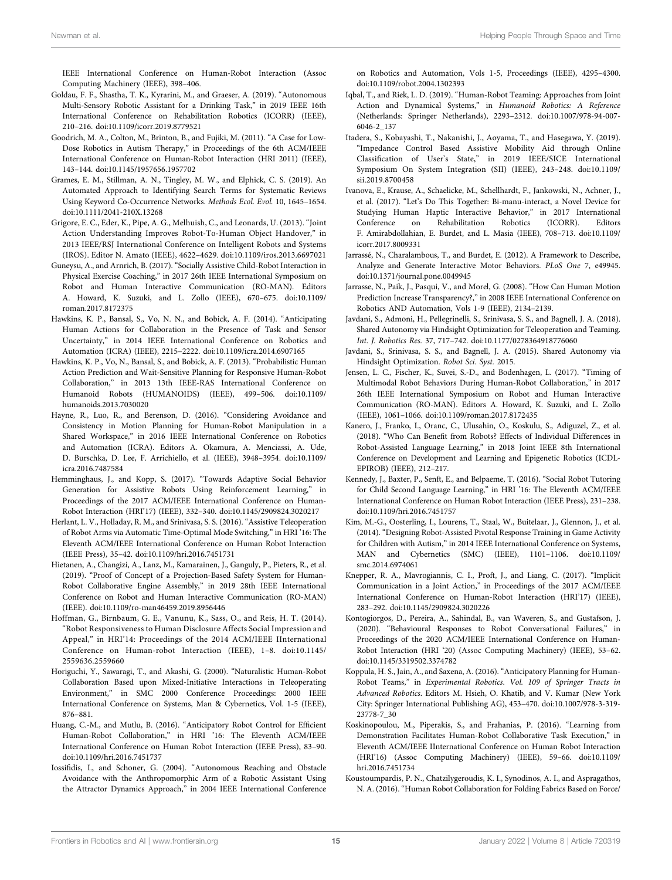IEEE International Conference on Human-Robot Interaction (Assoc Computing Machinery (IEEE), 398–406.

- <span id="page-14-12"></span>Goldau, F. F., Shastha, T. K., Kyrarini, M., and Graeser, A. (2019). "Autonomous Multi-Sensory Robotic Assistant for a Drinking Task," in 2019 IEEE 16th International Conference on Rehabilitation Robotics (ICORR) (IEEE), 210–216. doi:[10.1109/icorr.2019.8779521](https://doi.org/10.1109/icorr.2019.8779521)
- <span id="page-14-19"></span>Goodrich, M. A., Colton, M., Brinton, B., and Fujiki, M. (2011). "A Case for Low-Dose Robotics in Autism Therapy," in Proceedings of the 6th ACM/IEEE International Conference on Human-Robot Interaction (HRI 2011) (IEEE), 143–144. doi:[10.1145/1957656.1957702](https://doi.org/10.1145/1957656.1957702)
- <span id="page-14-2"></span>Grames, E. M., Stillman, A. N., Tingley, M. W., and Elphick, C. S. (2019). An Automated Approach to Identifying Search Terms for Systematic Reviews Using Keyword Co-Occurrence Networks. Methods Ecol. Evol. 10, 1645–1654. doi:[10.1111/2041-210X.13268](https://doi.org/10.1111/2041-210X.13268)
- <span id="page-14-11"></span>Grigore, E. C., Eder, K., Pipe, A. G., Melhuish, C., and Leonards, U. (2013). "Joint Action Understanding Improves Robot-To-Human Object Handover," in 2013 IEEE/RSJ International Conference on Intelligent Robots and Systems (IROS). Editor N. Amato (IEEE), 4622–4629. doi[:10.1109/iros.2013.6697021](https://doi.org/10.1109/iros.2013.6697021)
- <span id="page-14-25"></span>Guneysu, A., and Arnrich, B. (2017). "Socially Assistive Child-Robot Interaction in Physical Exercise Coaching," in 2017 26th IEEE International Symposium on Robot and Human Interactive Communication (RO-MAN). Editors A. Howard, K. Suzuki, and L. Zollo (IEEE), 670–675. doi:[10.1109/](https://doi.org/10.1109/roman.2017.8172375) [roman.2017.8172375](https://doi.org/10.1109/roman.2017.8172375)
- <span id="page-14-9"></span>Hawkins, K. P., Bansal, S., Vo, N. N., and Bobick, A. F. (2014). "Anticipating Human Actions for Collaboration in the Presence of Task and Sensor Uncertainty," in 2014 IEEE International Conference on Robotics and Automation (ICRA) (IEEE), 2215–2222. doi[:10.1109/icra.2014.6907165](https://doi.org/10.1109/icra.2014.6907165)
- <span id="page-14-8"></span>Hawkins, K. P., Vo, N., Bansal, S., and Bobick, A. F. (2013). "Probabilistic Human Action Prediction and Wait-Sensitive Planning for Responsive Human-Robot Collaboration," in 2013 13th IEEE-RAS International Conference on Humanoid Robots (HUMANOIDS) (IEEE), 499–506. doi:[10.1109/](https://doi.org/10.1109/humanoids.2013.7030020) [humanoids.2013.7030020](https://doi.org/10.1109/humanoids.2013.7030020)
- <span id="page-14-29"></span>Hayne, R., Luo, R., and Berenson, D. (2016). "Considering Avoidance and Consistency in Motion Planning for Human-Robot Manipulation in a Shared Workspace," in 2016 IEEE International Conference on Robotics and Automation (ICRA). Editors A. Okamura, A. Menciassi, A. Ude, D. Burschka, D. Lee, F. Arrichiello, et al. (IEEE), 3948–3954. doi:[10.1109/](https://doi.org/10.1109/icra.2016.7487584) [icra.2016.7487584](https://doi.org/10.1109/icra.2016.7487584)
- <span id="page-14-21"></span>Hemminghaus, J., and Kopp, S. (2017). "Towards Adaptive Social Behavior Generation for Assistive Robots Using Reinforcement Learning," in Proceedings of the 2017 ACM/IEEE International Conference on Human-Robot Interaction (HRI'17) (IEEE), 332–340. doi:[10.1145/2909824.3020217](https://doi.org/10.1145/2909824.3020217)
- <span id="page-14-27"></span>Herlant, L. V., Holladay, R. M., and Srinivasa, S. S. (2016). "Assistive Teleoperation of Robot Arms via Automatic Time-Optimal Mode Switching," in HRI '16: The Eleventh ACM/IEEE International Conference on Human Robot Interaction (IEEE Press), 35–42. doi[:10.1109/hri.2016.7451731](https://doi.org/10.1109/hri.2016.7451731)
- <span id="page-14-16"></span>Hietanen, A., Changizi, A., Lanz, M., Kamarainen, J., Ganguly, P., Pieters, R., et al. (2019). "Proof of Concept of a Projection-Based Safety System for Human-Robot Collaborative Engine Assembly," in 2019 28th IEEE International Conference on Robot and Human Interactive Communication (RO-MAN) (IEEE). doi:[10.1109/ro-man46459.2019.8956446](https://doi.org/10.1109/ro-man46459.2019.8956446)
- <span id="page-14-22"></span>Hoffman, G., Birnbaum, G. E., Vanunu, K., Sass, O., and Reis, H. T. (2014). "Robot Responsiveness to Human Disclosure Affects Social Impression and Appeal," in HRI'14: Proceedings of the 2014 ACM/IEEE IInternational Conference on Human-robot Interaction (IEEE), 1–8. doi:[10.1145/](https://doi.org/10.1145/2559636.2559660) [2559636.2559660](https://doi.org/10.1145/2559636.2559660)
- <span id="page-14-28"></span>Horiguchi, Y., Sawaragi, T., and Akashi, G. (2000). "Naturalistic Human-Robot Collaboration Based upon Mixed-Initiative Interactions in Teleoperating Environment," in SMC 2000 Conference Proceedings: 2000 IEEE International Conference on Systems, Man & Cybernetics, Vol. 1-5 (IEEE), 876–881.
- <span id="page-14-7"></span>Huang, C.-M., and Mutlu, B. (2016). "Anticipatory Robot Control for Efficient Human-Robot Collaboration," in HRI '16: The Eleventh ACM/IEEE International Conference on Human Robot Interaction (IEEE Press), 83–90. doi:[10.1109/hri.2016.7451737](https://doi.org/10.1109/hri.2016.7451737)
- <span id="page-14-6"></span>Iossifidis, I., and Schoner, G. (2004). "Autonomous Reaching and Obstacle Avoidance with the Anthropomorphic Arm of a Robotic Assistant Using the Attractor Dynamics Approach," in 2004 IEEE International Conference

on Robotics and Automation, Vols 1-5, Proceedings (IEEE), 4295–4300. doi[:10.1109/robot.2004.1302393](https://doi.org/10.1109/robot.2004.1302393)

- <span id="page-14-1"></span>Iqbal, T., and Riek, L. D. (2019). "Human-Robot Teaming: Approaches from Joint Action and Dynamical Systems," in Humanoid Robotics: A Reference (Netherlands: Springer Netherlands), 2293–2312. doi:[10.1007/978-94-007-](https://doi.org/10.1007/978-94-007-6046-2_137) [6046-2\\_137](https://doi.org/10.1007/978-94-007-6046-2_137)
- <span id="page-14-15"></span>Itadera, S., Kobayashi, T., Nakanishi, J., Aoyama, T., and Hasegawa, Y. (2019). "Impedance Control Based Assistive Mobility Aid through Online Classification of User's State," in 2019 IEEE/SICE International Symposium On System Integration (SII) (IEEE), 243–248. doi:[10.1109/](https://doi.org/10.1109/sii.2019.8700458) [sii.2019.8700458](https://doi.org/10.1109/sii.2019.8700458)
- <span id="page-14-3"></span>Ivanova, E., Krause, A., Schaelicke, M., Schellhardt, F., Jankowski, N., Achner, J., et al. (2017). "Let's Do This Together: Bi-manu-interact, a Novel Device for Studying Human Haptic Interactive Behavior," in 2017 International Conference on Rehabilitation Robotics (ICORR). Editors F. Amirabdollahian, E. Burdet, and L. Masia (IEEE), 708–713. doi[:10.1109/](https://doi.org/10.1109/icorr.2017.8009331) [icorr.2017.8009331](https://doi.org/10.1109/icorr.2017.8009331)
- <span id="page-14-0"></span>Jarrassé, N., Charalambous, T., and Burdet, E. (2012). A Framework to Describe, Analyze and Generate Interactive Motor Behaviors. PLoS One 7, e49945. doi[:10.1371/journal.pone.0049945](https://doi.org/10.1371/journal.pone.0049945)
- <span id="page-14-14"></span>Jarrasse, N., Paik, J., Pasqui, V., and Morel, G. (2008). "How Can Human Motion Prediction Increase Transparency?," in 2008 IEEE International Conference on Robotics AND Automation, Vols 1-9 (IEEE), 2134–2139.
- <span id="page-14-30"></span>Javdani, S., Admoni, H., Pellegrinelli, S., Srinivasa, S. S., and Bagnell, J. A. (2018). Shared Autonomy via Hindsight Optimization for Teleoperation and Teaming. Int. J. Robotics Res. 37, 717–742. doi:[10.1177/0278364918776060](https://doi.org/10.1177/0278364918776060)
- <span id="page-14-26"></span>Javdani, S., Srinivasa, S. S., and Bagnell, J. A. (2015). Shared Autonomy via Hindsight Optimization. Robot Sci. Syst. 2015.
- <span id="page-14-5"></span>Jensen, L. C., Fischer, K., Suvei, S.-D., and Bodenhagen, L. (2017). "Timing of Multimodal Robot Behaviors During Human-Robot Collaboration," in 2017 26th IEEE International Symposium on Robot and Human Interactive Communication (RO-MAN). Editors A. Howard, K. Suzuki, and L. Zollo (IEEE), 1061–1066. doi[:10.1109/roman.2017.8172435](https://doi.org/10.1109/roman.2017.8172435)
- <span id="page-14-18"></span>Kanero, J., Franko, I., Oranc, C., Ulusahin, O., Koskulu, S., Adiguzel, Z., et al. (2018). "Who Can Benefit from Robots? Effects of Individual Differences in Robot-Assisted Language Learning," in 2018 Joint IEEE 8th International Conference on Development and Learning and Epigenetic Robotics (ICDL-EPIROB) (IEEE), 212–217.
- <span id="page-14-17"></span>Kennedy, J., Baxter, P., Senft, E., and Belpaeme, T. (2016). "Social Robot Tutoring for Child Second Language Learning," in HRI '16: The Eleventh ACM/IEEE International Conference on Human Robot Interaction (IEEE Press), 231–238. doi[:10.1109/hri.2016.7451757](https://doi.org/10.1109/hri.2016.7451757)
- <span id="page-14-20"></span>Kim, M.-G., Oosterling, I., Lourens, T., Staal, W., Buitelaar, J., Glennon, J., et al. (2014). "Designing Robot-Assisted Pivotal Response Training in Game Activity for Children with Autism," in 2014 IEEE International Conference on Systems, MAN and Cybernetics (SMC) (IEEE), 1101–1106. doi[:10.1109/](https://doi.org/10.1109/smc.2014.6974061) [smc.2014.6974061](https://doi.org/10.1109/smc.2014.6974061)
- <span id="page-14-23"></span>Knepper, R. A., Mavrogiannis, C. I., Proft, J., and Liang, C. (2017). "Implicit Communication in a Joint Action," in Proceedings of the 2017 ACM/IEEE International Conference on Human-Robot Interaction (HRI'17) (IEEE), 283–292. doi:[10.1145/2909824.3020226](https://doi.org/10.1145/2909824.3020226)
- <span id="page-14-24"></span>Kontogiorgos, D., Pereira, A., Sahindal, B., van Waveren, S., and Gustafson, J. (2020). "Behavioural Responses to Robot Conversational Failures," in Proceedings of the 2020 ACM/IEEE International Conference on Human-Robot Interaction (HRI '20) (Assoc Computing Machinery) (IEEE), 53–62. doi[:10.1145/3319502.3374782](https://doi.org/10.1145/3319502.3374782)
- <span id="page-14-10"></span>Koppula, H. S., Jain, A., and Saxena, A. (2016). "Anticipatory Planning for Human-Robot Teams," in Experimental Robotics. Vol. 109 of Springer Tracts in Advanced Robotics. Editors M. Hsieh, O. Khatib, and V. Kumar (New York City: Springer International Publishing AG), 453–470. doi[:10.1007/978-3-319-](https://doi.org/10.1007/978-3-319-23778-7_30) [23778-7\\_30](https://doi.org/10.1007/978-3-319-23778-7_30)
- <span id="page-14-4"></span>Koskinopoulou, M., Piperakis, S., and Frahanias, P. (2016). "Learning from Demonstration Facilitates Human-Robot Collaborative Task Execution," in Eleventh ACM/IEEE IInternational Conference on Human Robot Interaction (HRI'16) (Assoc Computing Machinery) (IEEE), 59–66. doi[:10.1109/](https://doi.org/10.1109/hri.2016.7451734) [hri.2016.7451734](https://doi.org/10.1109/hri.2016.7451734)
- <span id="page-14-13"></span>Koustoumpardis, P. N., Chatzilygeroudis, K. I., Synodinos, A. I., and Aspragathos, N. A. (2016). "Human Robot Collaboration for Folding Fabrics Based on Force/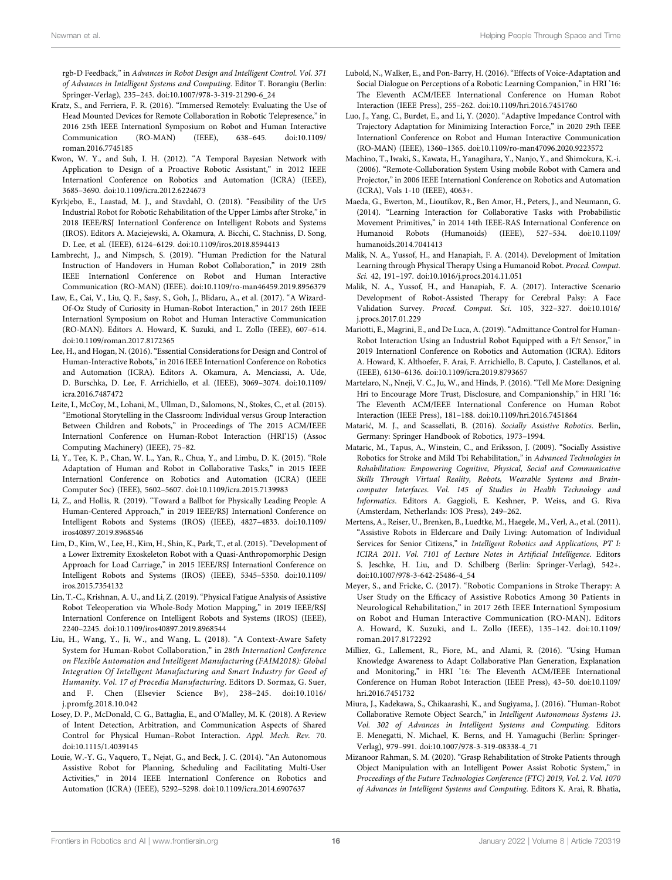rgb-D Feedback," in Advances in Robot Design and Intelligent Control. Vol. 371 of Advances in Intelligent Systems and Computing. Editor T. Borangiu (Berlin: Springer-Verlag), 235–243. doi[:10.1007/978-3-319-21290-6\\_24](https://doi.org/10.1007/978-3-319-21290-6_24)

- <span id="page-15-10"></span>Kratz, S., and Ferriera, F. R. (2016). "Immersed Remotely: Evaluating the Use of Head Mounted Devices for Remote Collaboration in Robotic Telepresence," in 2016 25th IEEE Internationl Symposium on Robot and Human Interactive Communication (RO-MAN) (IEEE), 638–645. doi:[10.1109/](https://doi.org/10.1109/roman.2016.7745185) [roman.2016.7745185](https://doi.org/10.1109/roman.2016.7745185)
- <span id="page-15-7"></span>Kwon, W. Y., and Suh, I. H. (2012). "A Temporal Bayesian Network with Application to Design of a Proactive Robotic Assistant," in 2012 IEEE Internationl Conference on Robotics and Automation (ICRA) (IEEE), 3685–3690. doi[:10.1109/icra.2012.6224673](https://doi.org/10.1109/icra.2012.6224673)
- <span id="page-15-17"></span>Kyrkjebo, E., Laastad, M. J., and Stavdahl, O. (2018). "Feasibility of the Ur5 Industrial Robot for Robotic Rehabilitation of the Upper Limbs after Stroke," in 2018 IEEE/RSJ Internationl Conference on Intelligent Robots and Systems (IROS). Editors A. Maciejewski, A. Okamura, A. Bicchi, C. Stachniss, D. Song, D. Lee, et al. (IEEE), 6124–6129. doi:[10.1109/iros.2018.8594413](https://doi.org/10.1109/iros.2018.8594413)
- <span id="page-15-8"></span>Lambrecht, J., and Nimpsch, S. (2019). "Human Prediction for the Natural Instruction of Handovers in Human Robot Collaboration," in 2019 28th IEEE Internationl Conference on Robot and Human Interactive Communication (RO-MAN) (IEEE). doi[:10.1109/ro-man46459.2019.8956379](https://doi.org/10.1109/ro-man46459.2019.8956379)
- <span id="page-15-23"></span>Law, E., Cai, V., Liu, Q. F., Sasy, S., Goh, J., Blidaru, A., et al. (2017). "A Wizard-Of-Oz Study of Curiosity in Human-Robot Interaction," in 2017 26th IEEE Internationl Symposium on Robot and Human Interactive Communication (RO-MAN). Editors A. Howard, K. Suzuki, and L. Zollo (IEEE), 607–614. doi:[10.1109/roman.2017.8172365](https://doi.org/10.1109/roman.2017.8172365)
- <span id="page-15-14"></span>Lee, H., and Hogan, N. (2016). "Essential Considerations for Design and Control of Human-Interactive Robots," in 2016 IEEE Internationl Conference on Robotics and Automation (ICRA). Editors A. Okamura, A. Menciassi, A. Ude, D. Burschka, D. Lee, F. Arrichiello, et al. (IEEE), 3069–3074. doi:[10.1109/](https://doi.org/10.1109/icra.2016.7487472) [icra.2016.7487472](https://doi.org/10.1109/icra.2016.7487472)
- <span id="page-15-1"></span>Leite, I., McCoy, M., Lohani, M., Ullman, D., Salomons, N., Stokes, C., et al. (2015). "Emotional Storytelling in the Classroom: Individual versus Group Interaction Between Children and Robots," in Proceedings of The 2015 ACM/IEEE Internationl Conference on Human-Robot Interaction (HRI'15) (Assoc Computing Machinery) (IEEE), 75–82.
- <span id="page-15-13"></span>Li, Y., Tee, K. P., Chan, W. L., Yan, R., Chua, Y., and Limbu, D. K. (2015). "Role Adaptation of Human and Robot in Collaborative Tasks," in 2015 IEEE Internationl Conference on Robotics and Automation (ICRA) (IEEE Computer Soc) (IEEE), 5602–5607. doi[:10.1109/icra.2015.7139983](https://doi.org/10.1109/icra.2015.7139983)
- <span id="page-15-18"></span>Li, Z., and Hollis, R. (2019). "Toward a Ballbot for Physically Leading People: A Human-Centered Approach," in 2019 IEEE/RSJ Internationl Conference on Intelligent Robots and Systems (IROS) (IEEE), 4827–4833. doi:[10.1109/](https://doi.org/10.1109/iros40897.2019.8968546) [iros40897.2019.8968546](https://doi.org/10.1109/iros40897.2019.8968546)
- <span id="page-15-12"></span>Lim, D., Kim, W., Lee, H., Kim, H., Shin, K., Park, T., et al. (2015)."Development of a Lower Extremity Exoskeleton Robot with a Quasi-Anthropomorphic Design Approach for Load Carriage," in 2015 IEEE/RSJ Internationl Conference on Intelligent Robots and Systems (IROS) (IEEE), 5345–5350. doi:[10.1109/](https://doi.org/10.1109/iros.2015.7354132) [iros.2015.7354132](https://doi.org/10.1109/iros.2015.7354132)
- <span id="page-15-26"></span>Lin, T.-C., Krishnan, A. U., and Li, Z. (2019)."Physical Fatigue Analysis of Assistive Robot Teleoperation via Whole-Body Motion Mapping," in 2019 IEEE/RSJ Internationl Conference on Intelligent Robots and Systems (IROS) (IEEE), 2240–2245. doi[:10.1109/iros40897.2019.8968544](https://doi.org/10.1109/iros40897.2019.8968544)
- <span id="page-15-27"></span>Liu, H., Wang, Y., Ji, W., and Wang, L. (2018). "A Context-Aware Safety System for Human-Robot Collaboration," in 28th Internationl Conference on Flexible Automation and Intelligent Manufacturing (FAIM2018): Global Integration Of Intelligent Manufacturing and Smart Industry for Good of Humanity. Vol. 17 of Procedia Manufacturing. Editors D. Sormaz, G. Suer, and F. Chen (Elsevier Science Bv), 238–245. doi:[10.1016/](https://doi.org/10.1016/j.promfg.2018.10.042) [j.promfg.2018.10.042](https://doi.org/10.1016/j.promfg.2018.10.042)
- <span id="page-15-28"></span>Losey, D. P., McDonald, C. G., Battaglia, E., and O'Malley, M. K. (2018). A Review of Intent Detection, Arbitration, and Communication Aspects of Shared Control for Physical Human–Robot Interaction. Appl. Mech. Rev. 70. doi:[10.1115/1.4039145](https://doi.org/10.1115/1.4039145)
- <span id="page-15-19"></span>Louie, W.-Y. G., Vaquero, T., Nejat, G., and Beck, J. C. (2014). "An Autonomous Assistive Robot for Planning, Scheduling and Facilitating Multi-User Activities," in 2014 IEEE Internationl Conference on Robotics and Automation (ICRA) (IEEE), 5292–5298. doi[:10.1109/icra.2014.6907637](https://doi.org/10.1109/icra.2014.6907637)
- <span id="page-15-25"></span>Lubold, N., Walker, E., and Pon-Barry, H. (2016)."Effects of Voice-Adaptation and Social Dialogue on Perceptions of a Robotic Learning Companion," in HRI '16: The Eleventh ACM/IEEE International Conference on Human Robot Interaction (IEEE Press), 255–262. doi:[10.1109/hri.2016.7451760](https://doi.org/10.1109/hri.2016.7451760)
- <span id="page-15-16"></span>Luo, J., Yang, C., Burdet, E., and Li, Y. (2020). "Adaptive Impedance Control with Trajectory Adaptation for Minimizing Interaction Force," in 2020 29th IEEE Internationl Conference on Robot and Human Interactive Communication (RO-MAN) (IEEE), 1360–1365. doi[:10.1109/ro-man47096.2020.9223572](https://doi.org/10.1109/ro-man47096.2020.9223572)
- <span id="page-15-3"></span>Machino, T., Iwaki, S., Kawata, H., Yanagihara, Y., Nanjo, Y., and Shimokura, K.-i. (2006). "Remote-Collaboration System Using mobile Robot with Camera and Projector," in 2006 IEEE Internationl Conference on Robotics and Automation (ICRA), Vols 1-10 (IEEE), 4063+.
- <span id="page-15-5"></span>Maeda, G., Ewerton, M., Lioutikov, R., Ben Amor, H., Peters, J., and Neumann, G. (2014). "Learning Interaction for Collaborative Tasks with Probabilistic Movement Primitives," in 2014 14th IEEE-RAS International Conference on Humanoid Robots (Humanoids) (IEEE), 527–534. doi[:10.1109/](https://doi.org/10.1109/humanoids.2014.7041413) [humanoids.2014.7041413](https://doi.org/10.1109/humanoids.2014.7041413)
- <span id="page-15-21"></span>Malik, N. A., Yussof, H., and Hanapiah, F. A. (2014). Development of Imitation Learning through Physical Therapy Using a Humanoid Robot. Proced. Comput. Sci. 42, 191–197. doi:[10.1016/j.procs.2014.11.051](https://doi.org/10.1016/j.procs.2014.11.051)
- <span id="page-15-22"></span>Malik, N. A., Yussof, H., and Hanapiah, F. A. (2017). Interactive Scenario Development of Robot-Assisted Therapy for Cerebral Palsy: A Face Validation Survey. Proced. Comput. Sci. 105, 322–327. doi[:10.1016/](https://doi.org/10.1016/j.procs.2017.01.229) [j.procs.2017.01.229](https://doi.org/10.1016/j.procs.2017.01.229)
- <span id="page-15-15"></span>Mariotti, E., Magrini, E., and De Luca, A. (2019). "Admittance Control for Human-Robot Interaction Using an Industrial Robot Equipped with a F/t Sensor," in 2019 Internationl Conference on Robotics and Automation (ICRA). Editors A. Howard, K. Althoefer, F. Arai, F. Arrichiello, B. Caputo, J. Castellanos, et al. (IEEE), 6130–6136. doi[:10.1109/icra.2019.8793657](https://doi.org/10.1109/icra.2019.8793657)
- <span id="page-15-2"></span>Martelaro, N., Nneji, V. C., Ju, W., and Hinds, P. (2016). "Tell Me More: Designing Hri to Encourage More Trust, Disclosure, and Companionship," in HRI '16: The Eleventh ACM/IEEE International Conference on Human Robot Interaction (IEEE Press), 181–188. doi:[10.1109/hri.2016.7451864](https://doi.org/10.1109/hri.2016.7451864)
- <span id="page-15-0"></span>Matarić, M. J., and Scassellati, B. (2016). Socially Assistive Robotics. Berlin, Germany: Springer Handbook of Robotics, 1973–1994.
- <span id="page-15-24"></span>Mataric, M., Tapus, A., Winstein, C., and Eriksson, J. (2009). "Socially Assistive Robotics for Stroke and Mild Tbi Rehabilitation," in Advanced Technologies in Rehabilitation: Empowering Cognitive, Physical, Social and Communicative Skills Through Virtual Reality, Robots, Wearable Systems and Braincomputer Interfaces. Vol. 145 of Studies in Health Technology and Informatics. Editors A. Gaggioli, E. Keshner, P. Weiss, and G. Riva (Amsterdam, Netherlands: IOS Press), 249–262.
- <span id="page-15-4"></span>Mertens, A., Reiser, U., Brenken, B., Luedtke, M., Haegele, M., Verl, A., et al. (2011). "Assistive Robots in Eldercare and Daily Living: Automation of Individual Services for Senior Citizens," in Intelligent Robotics and Applications, PT I: ICIRA 2011. Vol. 7101 of Lecture Notes in Artificial Intelligence. Editors S. Jeschke, H. Liu, and D. Schilberg (Berlin: Springer-Verlag), 542+. doi[:10.1007/978-3-642-25486-4\\_54](https://doi.org/10.1007/978-3-642-25486-4_54)
- <span id="page-15-20"></span>Meyer, S., and Fricke, C. (2017). "Robotic Companions in Stroke Therapy: A User Study on the Efficacy of Assistive Robotics Among 30 Patients in Neurological Rehabilitation," in 2017 26th IEEE Internationl Symposium on Robot and Human Interactive Communication (RO-MAN). Editors A. Howard, K. Suzuki, and L. Zollo (IEEE), 135–142. doi:[10.1109/](https://doi.org/10.1109/roman.2017.8172292) [roman.2017.8172292](https://doi.org/10.1109/roman.2017.8172292)
- <span id="page-15-6"></span>Milliez, G., Lallement, R., Fiore, M., and Alami, R. (2016). "Using Human Knowledge Awareness to Adapt Collaborative Plan Generation, Explanation and Monitoring," in HRI '16: The Eleventh ACM/IEEE International Conference on Human Robot Interaction (IEEE Press), 43–50. doi[:10.1109/](https://doi.org/10.1109/hri.2016.7451732) [hri.2016.7451732](https://doi.org/10.1109/hri.2016.7451732)
- <span id="page-15-11"></span>Miura, J., Kadekawa, S., Chikaarashi, K., and Sugiyama, J. (2016). "Human-Robot Collaborative Remote Object Search," in Intelligent Autonomous Systems 13. Vol. 302 of Advances in Intelligent Systems and Computing. Editors E. Menegatti, N. Michael, K. Berns, and H. Yamaguchi (Berlin: Springer-Verlag), 979–991. doi[:10.1007/978-3-319-08338-4\\_71](https://doi.org/10.1007/978-3-319-08338-4_71)
- <span id="page-15-9"></span>Mizanoor Rahman, S. M. (2020). "Grasp Rehabilitation of Stroke Patients through Object Manipulation with an Intelligent Power Assist Robotic System," in Proceedings of the Future Technologies Conference (FTC) 2019, Vol. 2. Vol. 1070 of Advances in Intelligent Systems and Computing. Editors K. Arai, R. Bhatia,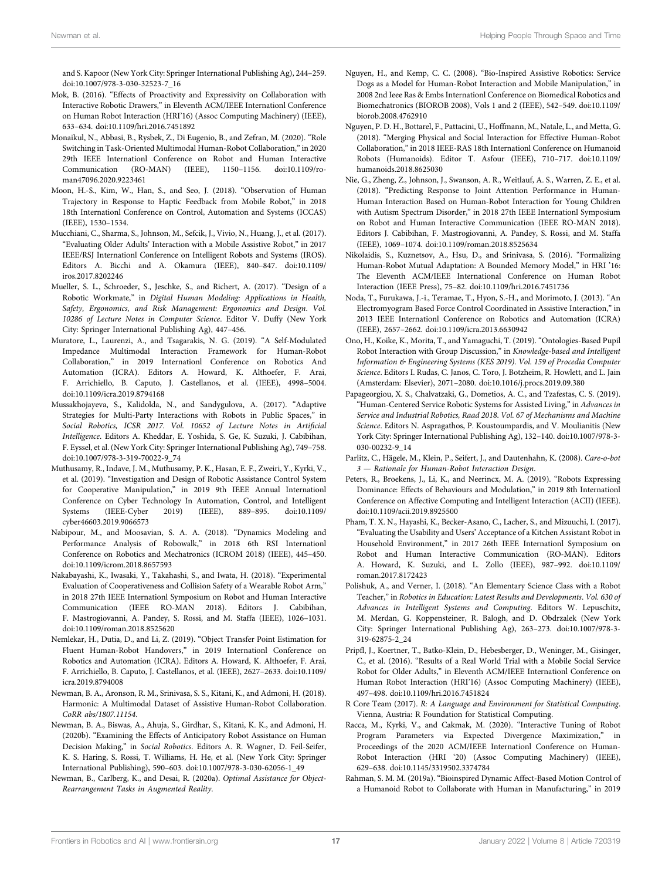and S. Kapoor (New York City: Springer International Publishing Ag), 244–259. doi:[10.1007/978-3-030-32523-7\\_16](https://doi.org/10.1007/978-3-030-32523-7_16)

- <span id="page-16-10"></span>Mok, B. (2016). "Effects of Proactivity and Expressivity on Collaboration with Interactive Robotic Drawers," in Eleventh ACM/IEEE Internationl Conference on Human Robot Interaction (HRI'16) (Assoc Computing Machinery) (IEEE), 633–634. doi:[10.1109/hri.2016.7451892](https://doi.org/10.1109/hri.2016.7451892)
- <span id="page-16-22"></span>Monaikul, N., Abbasi, B., Rysbek, Z., Di Eugenio, B., and Zefran, M. (2020). "Role Switching in Task-Oriented Multimodal Human-Robot Collaboration,"in 2020 29th IEEE Internationl Conference on Robot and Human Interactive<br>Communication (RO-MAN) (IEEE), 1150–1156. doi:10.1109/ro-Communication (RO-MAN) (IEEE), 1150–1156. doi[:10.1109/ro](https://doi.org/10.1109/ro-man47096.2020.9223461)[man47096.2020.9223461](https://doi.org/10.1109/ro-man47096.2020.9223461)
- <span id="page-16-15"></span>Moon, H.-S., Kim, W., Han, S., and Seo, J. (2018). "Observation of Human Trajectory in Response to Haptic Feedback from Mobile Robot," in 2018 18th Internationl Conference on Control, Automation and Systems (ICCAS) (IEEE), 1530–1534.
- <span id="page-16-21"></span>Mucchiani, C., Sharma, S., Johnson, M., Sefcik, J., Vivio, N., Huang, J., et al. (2017). "Evaluating Older Adults' Interaction with a Mobile Assistive Robot," in 2017 IEEE/RSJ Internationl Conference on Intelligent Robots and Systems (IROS). Editors A. Bicchi and A. Okamura (IEEE), 840–847. doi:[10.1109/](https://doi.org/10.1109/iros.2017.8202246) [iros.2017.8202246](https://doi.org/10.1109/iros.2017.8202246)
- <span id="page-16-4"></span>Mueller, S. L., Schroeder, S., Jeschke, S., and Richert, A. (2017). "Design of a Robotic Workmate," in Digital Human Modeling: Applications in Health, Safety, Ergonomics, and Risk Management: Ergonomics and Design. Vol. 10286 of Lecture Notes in Computer Science. Editor V. Duffy (New York City: Springer International Publishing Ag), 447–456.
- <span id="page-16-27"></span>Muratore, L., Laurenzi, A., and Tsagarakis, N. G. (2019). "A Self-Modulated Impedance Multimodal Interaction Framework for Human-Robot Collaboration," in 2019 Internationl Conference on Robotics And Automation (ICRA). Editors A. Howard, K. Althoefer, F. Arai, F. Arrichiello, B. Caputo, J. Castellanos, et al. (IEEE), 4998–5004. doi:[10.1109/icra.2019.8794168](https://doi.org/10.1109/icra.2019.8794168)
- <span id="page-16-17"></span>Mussakhojayeva, S., Kalidolda, N., and Sandygulova, A. (2017). "Adaptive Strategies for Multi-Party Interactions with Robots in Public Spaces," in Social Robotics, ICSR 2017. Vol. 10652 of Lecture Notes in Artificial Intelligence. Editors A. Kheddar, E. Yoshida, S. Ge, K. Suzuki, J. Cabibihan, F. Eyssel, et al. (New York City: Springer International Publishing Ag), 749–758. doi:[10.1007/978-3-319-70022-9\\_74](https://doi.org/10.1007/978-3-319-70022-9_74)
- <span id="page-16-13"></span>Muthusamy, R., Indave, J. M., Muthusamy, P. K., Hasan, E. F., Zweiri, Y., Kyrki, V., et al. (2019). "Investigation and Design of Robotic Assistance Control System for Cooperative Manipulation," in 2019 9th IEEE Annual Internationl Conference on Cyber Technology In Automation, Control, and Intelligent Systems (IEEE-Cyber 2019) (IEEE), 889–895. doi:[10.1109/](https://doi.org/10.1109/cyber46603.2019.9066573) [cyber46603.2019.9066573](https://doi.org/10.1109/cyber46603.2019.9066573)
- <span id="page-16-12"></span>Nabipour, M., and Moosavian, S. A. A. (2018). "Dynamics Modeling and Performance Analysis of Robowalk," in 2018 6th RSI Internationl Conference on Robotics and Mechatronics (ICROM 2018) (IEEE), 445–450. doi:[10.1109/icrom.2018.8657593](https://doi.org/10.1109/icrom.2018.8657593)
- <span id="page-16-24"></span>Nakabayashi, K., Iwasaki, Y., Takahashi, S., and Iwata, H. (2018). "Experimental Evaluation of Cooperativeness and Collision Safety of a Wearable Robot Arm," in 2018 27th IEEE Internationl Symposium on Robot and Human Interactive Communication (IEEE RO-MAN 2018). Editors J. Cabibihan, F. Mastrogiovanni, A. Pandey, S. Rossi, and M. Staffa (IEEE), 1026–1031. doi:[10.1109/roman.2018.8525620](https://doi.org/10.1109/roman.2018.8525620)
- <span id="page-16-5"></span>Nemlekar, H., Dutia, D., and Li, Z. (2019). "Object Transfer Point Estimation for Fluent Human-Robot Handovers," in 2019 Internationl Conference on Robotics and Automation (ICRA). Editors A. Howard, K. Althoefer, F. Arai, F. Arrichiello, B. Caputo, J. Castellanos, et al. (IEEE), 2627–2633. doi:[10.1109/](https://doi.org/10.1109/icra.2019.8794008) [icra.2019.8794008](https://doi.org/10.1109/icra.2019.8794008)
- <span id="page-16-23"></span>Newman, B. A., Aronson, R. M., Srinivasa, S. S., Kitani, K., and Admoni, H. (2018). Harmonic: A Multimodal Dataset of Assistive Human-Robot Collaboration. CoRR abs/1807.11154.
- <span id="page-16-6"></span>Newman, B. A., Biswas, A., Ahuja, S., Girdhar, S., Kitani, K. K., and Admoni, H. (2020b). "Examining the Effects of Anticipatory Robot Assistance on Human Decision Making," in Social Robotics. Editors A. R. Wagner, D. Feil-Seifer, K. S. Haring, S. Rossi, T. Williams, H. He, et al. (New York City: Springer International Publishing), 590–603. doi[:10.1007/978-3-030-62056-1\\_49](https://doi.org/10.1007/978-3-030-62056-1_49)
- <span id="page-16-14"></span>Newman, B., Carlberg, K., and Desai, R. (2020a). Optimal Assistance for Object-Rearrangement Tasks in Augmented Reality.
- <span id="page-16-3"></span>Nguyen, H., and Kemp, C. C. (2008). "Bio-Inspired Assistive Robotics: Service Dogs as a Model for Human-Robot Interaction and Mobile Manipulation," in 2008 2nd Ieee Ras & Embs Internationl Conference on Biomedical Robotics and Biomechatronics (BIOROB 2008), Vols 1 and 2 (IEEE), 542–549. doi[:10.1109/](https://doi.org/10.1109/biorob.2008.4762910) [biorob.2008.4762910](https://doi.org/10.1109/biorob.2008.4762910)
- <span id="page-16-28"></span>Nguyen, P. D. H., Bottarel, F., Pattacini, U., Hoffmann, M., Natale, L., and Metta, G. (2018). "Merging Physical and Social Interaction for Effective Human-Robot Collaboration," in 2018 IEEE-RAS 18th Internationl Conference on Humanoid Robots (Humanoids). Editor T. Asfour (IEEE), 710–717. doi[:10.1109/](https://doi.org/10.1109/humanoids.2018.8625030) [humanoids.2018.8625030](https://doi.org/10.1109/humanoids.2018.8625030)
- <span id="page-16-18"></span>Nie, G., Zheng, Z., Johnson, J., Swanson, A. R., Weitlauf, A. S., Warren, Z. E., et al. (2018). "Predicting Response to Joint Attention Performance in Human-Human Interaction Based on Human-Robot Interaction for Young Children with Autism Spectrum Disorder," in 2018 27th IEEE Internationl Symposium on Robot and Human Interactive Communication (IEEE RO-MAN 2018). Editors J. Cabibihan, F. Mastrogiovanni, A. Pandey, S. Rossi, and M. Staffa (IEEE), 1069–1074. doi[:10.1109/roman.2018.8525634](https://doi.org/10.1109/roman.2018.8525634)
- <span id="page-16-8"></span>Nikolaidis, S., Kuznetsov, A., Hsu, D., and Srinivasa, S. (2016). "Formalizing Human-Robot Mutual Adaptation: A Bounded Memory Model," in HRI '16: The Eleventh ACM/IEEE International Conference on Human Robot Interaction (IEEE Press), 75–82. doi:[10.1109/hri.2016.7451736](https://doi.org/10.1109/hri.2016.7451736)
- <span id="page-16-25"></span>Noda, T., Furukawa, J.-i., Teramae, T., Hyon, S.-H., and Morimoto, J. (2013). "An Electromyogram Based Force Control Coordinated in Assistive Interaction," in 2013 IEEE Internationl Conference on Robotics and Automation (ICRA) (IEEE), 2657–2662. doi[:10.1109/icra.2013.6630942](https://doi.org/10.1109/icra.2013.6630942)
- <span id="page-16-16"></span>Ono, H., Koike, K., Morita, T., and Yamaguchi, T. (2019). "Ontologies-Based Pupil Robot Interaction with Group Discussion," in Knowledge-based and Intelligent Information & Engineering Systems (KES 2019). Vol. 159 of Procedia Computer Science. Editors I. Rudas, C. Janos, C. Toro, J. Botzheim, R. Howlett, and L. Jain (Amsterdam: Elsevier), 2071–2080. doi:[10.1016/j.procs.2019.09.380](https://doi.org/10.1016/j.procs.2019.09.380)
- <span id="page-16-11"></span>Papageorgiou, X. S., Chalvatzaki, G., Dometios, A. C., and Tzafestas, C. S. (2019). "Human-Centered Service Robotic Systems for Assisted Living," in Advances in Service and Industrial Robotics, Raad 2018. Vol. 67 of Mechanisms and Machine Science. Editors N. Aspragathos, P. Koustoumpardis, and V. Moulianitis (New York City: Springer International Publishing Ag), 132–140. doi:[10.1007/978-3-](https://doi.org/10.1007/978-3-030-00232-9_14) [030-00232-9\\_14](https://doi.org/10.1007/978-3-030-00232-9_14)
- <span id="page-16-9"></span>Parlitz, C., Hägele, M., Klein, P., Seifert, J., and Dautenhahn, K. (2008). Care-o-bot 3 — Rationale for Human-Robot Interaction Design.
- <span id="page-16-20"></span>Peters, R., Broekens, J., Li, K., and Neerincx, M. A. (2019). "Robots Expressing Dominance: Effects of Behaviours and Modulation," in 2019 8th Internationl Conference on Affective Computing and Intelligent Interaction (ACII) (IEEE). doi[:10.1109/acii.2019.8925500](https://doi.org/10.1109/acii.2019.8925500)
- <span id="page-16-26"></span>Pham, T. X. N., Hayashi, K., Becker-Asano, C., Lacher, S., and Mizuuchi, I. (2017). "Evaluating the Usability and Users' Acceptance of a Kitchen Assistant Robot in Household Environment," in 2017 26th IEEE Internationl Symposium on Robot and Human Interactive Communication (RO-MAN). Editors A. Howard, K. Suzuki, and L. Zollo (IEEE), 987–992. doi[:10.1109/](https://doi.org/10.1109/roman.2017.8172423) [roman.2017.8172423](https://doi.org/10.1109/roman.2017.8172423)
- <span id="page-16-1"></span>Polishuk, A., and Verner, I. (2018). "An Elementary Science Class with a Robot Teacher," in Robotics in Education: Latest Results and Developments. Vol. 630 of Advances in Intelligent Systems and Computing. Editors W. Lepuschitz, M. Merdan, G. Koppensteiner, R. Balogh, and D. Obdrzalek (New York City: Springer International Publishing Ag), 263–273. doi:[10.1007/978-3-](https://doi.org/10.1007/978-3-319-62875-2_24) [319-62875-2\\_24](https://doi.org/10.1007/978-3-319-62875-2_24)
- <span id="page-16-2"></span>Pripfl, J., Koertner, T., Batko-Klein, D., Hebesberger, D., Weninger, M., Gisinger, C., et al. (2016). "Results of a Real World Trial with a Mobile Social Service Robot for Older Adults," in Eleventh ACM/IEEE Internationl Conference on Human Robot Interaction (HRI'16) (Assoc Computing Machinery) (IEEE), 497–498. doi:[10.1109/hri.2016.7451824](https://doi.org/10.1109/hri.2016.7451824)
- <span id="page-16-0"></span>R Core Team (2017). R: A Language and Environment for Statistical Computing. Vienna, Austria: R Foundation for Statistical Computing.
- <span id="page-16-7"></span>Racca, M., Kyrki, V., and Cakmak, M. (2020). "Interactive Tuning of Robot Program Parameters via Expected Divergence Maximization," in Proceedings of the 2020 ACM/IEEE Internationl Conference on Human-Robot Interaction (HRI '20) (Assoc Computing Machinery) (IEEE), 629–638. doi:[10.1145/3319502.3374784](https://doi.org/10.1145/3319502.3374784)
- <span id="page-16-19"></span>Rahman, S. M. M. (2019a). "Bioinspired Dynamic Affect-Based Motion Control of a Humanoid Robot to Collaborate with Human in Manufacturing," in 2019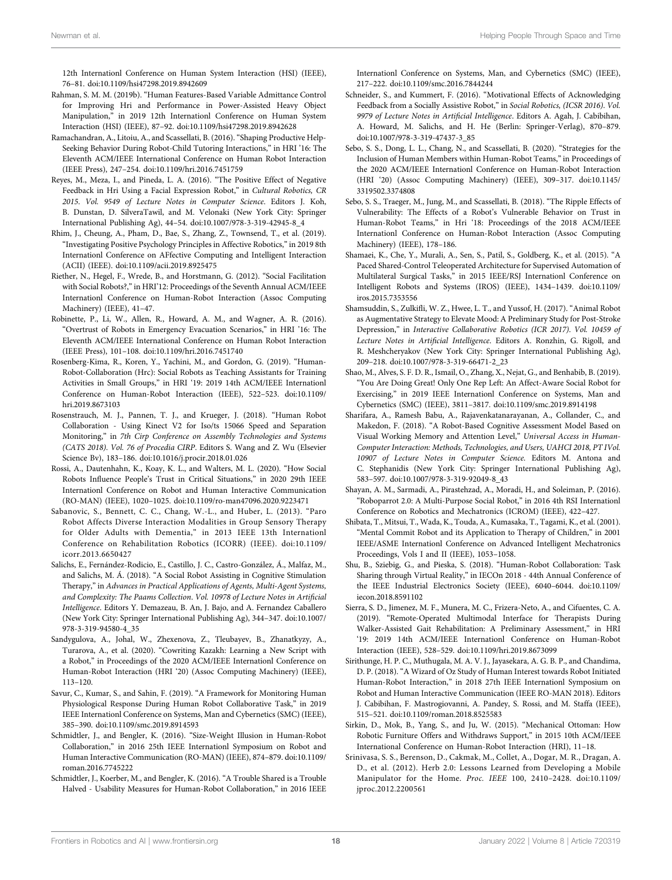12th Internationl Conference on Human System Interaction (HSI) (IEEE), 76–81. doi:[10.1109/hsi47298.2019.8942609](https://doi.org/10.1109/hsi47298.2019.8942609)

- <span id="page-17-7"></span>Rahman, S. M. M. (2019b). "Human Features-Based Variable Admittance Control for Improving Hri and Performance in Power-Assisted Heavy Object Manipulation," in 2019 12th Internationl Conference on Human System Interaction (HSI) (IEEE), 87–92. doi[:10.1109/hsi47298.2019.8942628](https://doi.org/10.1109/hsi47298.2019.8942628)
- <span id="page-17-13"></span>Ramachandran, A., Litoiu, A., and Scassellati, B. (2016)."Shaping Productive Help-Seeking Behavior During Robot-Child Tutoring Interactions," in HRI '16: The Eleventh ACM/IEEE International Conference on Human Robot Interaction (IEEE Press), 247–254. doi[:10.1109/hri.2016.7451759](https://doi.org/10.1109/hri.2016.7451759)
- <span id="page-17-18"></span>Reyes, M., Meza, I., and Pineda, L. A. (2016). "The Positive Effect of Negative Feedback in Hri Using a Facial Expression Robot," in Cultural Robotics, CR 2015. Vol. 9549 of Lecture Notes in Computer Science. Editors J. Koh, B. Dunstan, D. SilveraTawil, and M. Velonaki (New York City: Springer International Publishing Ag), 44–54. doi:[10.1007/978-3-319-42945-8\\_4](https://doi.org/10.1007/978-3-319-42945-8_4)
- <span id="page-17-26"></span>Rhim, J., Cheung, A., Pham, D., Bae, S., Zhang, Z., Townsend, T., et al. (2019). "Investigating Positive Psychology Principles in Affective Robotics,"in 2019 8th Internationl Conference on AFfective Computing and Intelligent Interaction (ACII) (IEEE). doi:[10.1109/acii.2019.8925475](https://doi.org/10.1109/acii.2019.8925475)
- <span id="page-17-19"></span>Riether, N., Hegel, F., Wrede, B., and Horstmann, G. (2012). "Social Facilitation with Social Robots?,"in HRI'12: Proceedings of the Seventh Annual ACM/IEEE Internationl Conference on Human-Robot Interaction (Assoc Computing Machinery) (IEEE), 41–47.
- <span id="page-17-12"></span>Robinette, P., Li, W., Allen, R., Howard, A. M., and Wagner, A. R. (2016). "Overtrust of Robots in Emergency Evacuation Scenarios," in HRI '16: The Eleventh ACM/IEEE International Conference on Human Robot Interaction (IEEE Press), 101–108. doi[:10.1109/hri.2016.7451740](https://doi.org/10.1109/hri.2016.7451740)
- <span id="page-17-2"></span>Rosenberg-Kima, R., Koren, Y., Yachini, M., and Gordon, G. (2019). "Human-Robot-Collaboration (Hrc): Social Robots as Teaching Assistants for Training Activities in Small Groups," in HRI '19: 2019 14th ACM/IEEE Internationl Conference on Human-Robot Interaction (IEEE), 522–523. doi:[10.1109/](https://doi.org/10.1109/hri.2019.8673103) [hri.2019.8673103](https://doi.org/10.1109/hri.2019.8673103)
- <span id="page-17-28"></span>Rosenstrauch, M. J., Pannen, T. J., and Krueger, J. (2018). "Human Robot Collaboration - Using Kinect V2 for Iso/ts 15066 Speed and Separation Monitoring," in 7th Cirp Conference on Assembly Technologies and Systems (CATS 2018). Vol. 76 of Procedia CIRP. Editors S. Wang and Z. Wu (Elsevier Science Bv), 183–186. doi:[10.1016/j.procir.2018.01.026](https://doi.org/10.1016/j.procir.2018.01.026)
- <span id="page-17-21"></span>Rossi, A., Dautenhahn, K., Koay, K. L., and Walters, M. L. (2020). "How Social Robots Influence People's Trust in Critical Situations," in 2020 29th IEEE Internationl Conference on Robot and Human Interactive Communication (RO-MAN) (IEEE), 1020–1025. doi[:10.1109/ro-man47096.2020.9223471](https://doi.org/10.1109/ro-man47096.2020.9223471)
- <span id="page-17-16"></span>Sabanovic, S., Bennett, C. C., Chang, W.-L., and Huber, L. (2013). "Paro Robot Affects Diverse Interaction Modalities in Group Sensory Therapy for Older Adults with Dementia," in 2013 IEEE 13th Internationl Conference on Rehabilitation Robotics (ICORR) (IEEE). doi:[10.1109/](https://doi.org/10.1109/icorr.2013.6650427) [icorr.2013.6650427](https://doi.org/10.1109/icorr.2013.6650427)
- <span id="page-17-14"></span>Salichs, E., Fernández-Rodicio, E., Castillo, J. C., Castro-González, Á., Malfaz, M., and Salichs, M. Á. (2018). "A Social Robot Assisting in Cognitive Stimulation Therapy," in Advances in Practical Applications of Agents, Multi-Agent Systems, and Complexity: The Paams Collection. Vol. 10978 of Lecture Notes in Artificial Intelligence. Editors Y. Demazeau, B. An, J. Bajo, and A. Fernandez Caballero (New York City: Springer International Publishing Ag), 344–347. doi:[10.1007/](https://doi.org/10.1007/978-3-319-94580-4_35) [978-3-319-94580-4\\_35](https://doi.org/10.1007/978-3-319-94580-4_35)
- <span id="page-17-27"></span>Sandygulova, A., Johal, W., Zhexenova, Z., Tleubayev, B., Zhanatkyzy, A., Turarova, A., et al. (2020). "Cowriting Kazakh: Learning a New Script with a Robot," in Proceedings of the 2020 ACM/IEEE Internationl Conference on Human-Robot Interaction (HRI '20) (Assoc Computing Machinery) (IEEE), 113–120.
- <span id="page-17-4"></span>Savur, C., Kumar, S., and Sahin, F. (2019). "A Framework for Monitoring Human Physiological Response During Human Robot Collaborative Task," in 2019 IEEE Internationl Conference on Systems, Man and Cybernetics (SMC) (IEEE), 385–390. doi:[10.1109/smc.2019.8914593](https://doi.org/10.1109/smc.2019.8914593)
- <span id="page-17-5"></span>Schmidtler, J., and Bengler, K. (2016). "Size-Weight Illusion in Human-Robot Collaboration," in 2016 25th IEEE Internationl Symposium on Robot and Human Interactive Communication (RO-MAN) (IEEE), 874–879. doi:[10.1109/](https://doi.org/10.1109/roman.2016.7745222) [roman.2016.7745222](https://doi.org/10.1109/roman.2016.7745222)
- <span id="page-17-6"></span>Schmidtler, J., Koerber, M., and Bengler, K. (2016). "A Trouble Shared is a Trouble Halved - Usability Measures for Human-Robot Collaboration," in 2016 IEEE

Internationl Conference on Systems, Man, and Cybernetics (SMC) (IEEE), 217–222. doi:[10.1109/smc.2016.7844244](https://doi.org/10.1109/smc.2016.7844244)

- <span id="page-17-0"></span>Schneider, S., and Kummert, F. (2016). "Motivational Effects of Acknowledging Feedback from a Socially Assistive Robot," in Social Robotics, (ICSR 2016). Vol. 9979 of Lecture Notes in Artificial Intelligence. Editors A. Agah, J. Cabibihan, A. Howard, M. Salichs, and H. He (Berlin: Springer-Verlag), 870–879. doi[:10.1007/978-3-319-47437-3\\_85](https://doi.org/10.1007/978-3-319-47437-3_85)
- <span id="page-17-22"></span>Sebo, S. S., Dong, L. L., Chang, N., and Scassellati, B. (2020). "Strategies for the Inclusion of Human Members within Human-Robot Teams,"in Proceedings of the 2020 ACM/IEEE Internationl Conference on Human-Robot Interaction (HRI '20) (Assoc Computing Machinery) (IEEE), 309–317. doi[:10.1145/](https://doi.org/10.1145/3319502.3374808) [3319502.3374808](https://doi.org/10.1145/3319502.3374808)
- <span id="page-17-20"></span>Sebo, S. S., Traeger, M., Jung, M., and Scassellati, B. (2018). "The Ripple Effects of Vulnerability: The Effects of a Robot's Vulnerable Behavior on Trust in Human-Robot Teams," in Hri '18: Proceedings of the 2018 ACM/IEEE Internationl Conference on Human-Robot Interaction (Assoc Computing Machinery) (IEEE), 178–186.
- <span id="page-17-9"></span>Shamaei, K., Che, Y., Murali, A., Sen, S., Patil, S., Goldberg, K., et al. (2015). "A Paced Shared-Control Teleoperated Architecture for Supervised Automation of Multilateral Surgical Tasks," in 2015 IEEE/RSJ Internationl Conference on Intelligent Robots and Systems (IROS) (IEEE), 1434–1439. doi[:10.1109/](https://doi.org/10.1109/iros.2015.7353556) [iros.2015.7353556](https://doi.org/10.1109/iros.2015.7353556)
- <span id="page-17-17"></span>Shamsuddin, S., Zulkifli, W. Z., Hwee, L. T., and Yussof, H. (2017). "Animal Robot as Augmentative Strategy to Elevate Mood: A Preliminary Study for Post-Stroke Depression," in Interactive Collaborative Robotics (ICR 2017). Vol. 10459 of Lecture Notes in Artificial Intelligence. Editors A. Ronzhin, G. Rigoll, and R. Meshcheryakov (New York City: Springer International Publishing Ag), 209–218. doi:[10.1007/978-3-319-66471-2\\_23](https://doi.org/10.1007/978-3-319-66471-2_23)
- <span id="page-17-24"></span>Shao, M., Alves, S. F. D. R., Ismail, O., Zhang, X., Nejat, G., and Benhabib, B. (2019). "You Are Doing Great! Only One Rep Left: An Affect-Aware Social Robot for Exercising," in 2019 IEEE Internationl Conference on Systems, Man and Cybernetics (SMC) (IEEE), 3811–3817. doi:[10.1109/smc.2019.8914198](https://doi.org/10.1109/smc.2019.8914198)
- <span id="page-17-23"></span>Sharifara, A., Ramesh Babu, A., Rajavenkatanarayanan, A., Collander, C., and Makedon, F. (2018). "A Robot-Based Cognitive Assessment Model Based on Visual Working Memory and Attention Level," Universal Access in Human-Computer Interaction: Methods, Technologies, and Users, UAHCI 2018, PT IVol. 10907 of Lecture Notes in Computer Science. Editors M. Antona and C. Stephanidis (New York City: Springer International Publishing Ag), 583–597. doi:[10.1007/978-3-319-92049-8\\_43](https://doi.org/10.1007/978-3-319-92049-8_43)
- <span id="page-17-1"></span>Shayan, A. M., Sarmadi, A., Pirastehzad, A., Moradi, H., and Soleiman, P. (2016). "Roboparrot 2.0: A Multi-Purpose Social Robot," in 2016 4th RSI Internationl Conference on Robotics and Mechatronics (ICROM) (IEEE), 422–427.
- <span id="page-17-15"></span>Shibata, T., Mitsui, T., Wada, K., Touda, A., Kumasaka, T., Tagami, K., et al. (2001). "Mental Commit Robot and its Application to Therapy of Children," in 2001 IEEE/ASME Internationl Conference on Advanced Intelligent Mechatronics Proceedings, Vols I and II (IEEE), 1053–1058.
- <span id="page-17-11"></span>Shu, B., Sziebig, G., and Pieska, S. (2018). "Human-Robot Collaboration: Task Sharing through Virtual Reality," in IECOn 2018 - 44th Annual Conference of the IEEE Industrial Electronics Society (IEEE), 6040–6044. doi[:10.1109/](https://doi.org/10.1109/iecon.2018.8591102) [iecon.2018.8591102](https://doi.org/10.1109/iecon.2018.8591102)
- <span id="page-17-10"></span>Sierra, S. D., Jimenez, M. F., Munera, M. C., Frizera-Neto, A., and Cifuentes, C. A. (2019). "Remote-Operated Multimodal Interface for Therapists During Walker-Assisted Gait Rehabilitation: A Preliminary Assessment," in HRI '19: 2019 14th ACM/IEEE Internationl Conference on Human-Robot Interaction (IEEE), 528–529. doi:[10.1109/hri.2019.8673099](https://doi.org/10.1109/hri.2019.8673099)
- <span id="page-17-25"></span>Sirithunge, H. P. C., Muthugala, M. A. V. J., Jayasekara, A. G. B. P., and Chandima, D. P. (2018). "A Wizard of Oz Study of Human Interest towards Robot Initiated Human-Robot Interaction," in 2018 27th IEEE Internationl Symposium on Robot and Human Interactive Communication (IEEE RO-MAN 2018). Editors J. Cabibihan, F. Mastrogiovanni, A. Pandey, S. Rossi, and M. Staffa (IEEE), 515–521. doi:[10.1109/roman.2018.8525583](https://doi.org/10.1109/roman.2018.8525583)
- <span id="page-17-8"></span>Sirkin, D., Mok, B., Yang, S., and Ju, W. (2015). "Mechanical Ottoman: How Robotic Furniture Offers and Withdraws Support," in 2015 10th ACM/IEEE International Conference on Human-Robot Interaction (HRI), 11–18.
- <span id="page-17-3"></span>Srinivasa, S. S., Berenson, D., Cakmak, M., Collet, A., Dogar, M. R., Dragan, A. D., et al. (2012). Herb 2.0: Lessons Learned from Developing a Mobile Manipulator for the Home. Proc. IEEE 100, 2410–2428. doi:[10.1109/](https://doi.org/10.1109/jproc.2012.2200561) [jproc.2012.2200561](https://doi.org/10.1109/jproc.2012.2200561)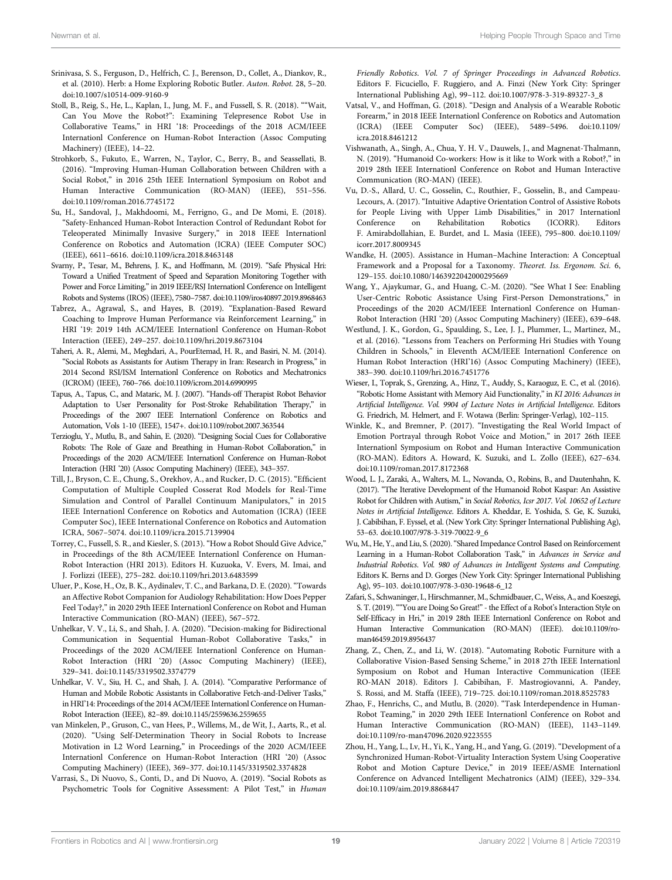- <span id="page-18-3"></span>Srinivasa, S. S., Ferguson, D., Helfrich, C. J., Berenson, D., Collet, A., Diankov, R., et al. (2010). Herb: a Home Exploring Robotic Butler. Auton. Robot. 28, 5–20. doi:[10.1007/s10514-009-9160-9](https://doi.org/10.1007/s10514-009-9160-9)
- <span id="page-18-10"></span>Stoll, B., Reig, S., He, L., Kaplan, I., Jung, M. F., and Fussell, S. R. (2018). ""Wait, Can You Move the Robot?": Examining Telepresence Robot Use in Collaborative Teams," in HRI '18: Proceedings of the 2018 ACM/IEEE Internationl Conference on Human-Robot Interaction (Assoc Computing Machinery) (IEEE), 14–22.
- <span id="page-18-21"></span>Strohkorb, S., Fukuto, E., Warren, N., Taylor, C., Berry, B., and Seassellati, B. (2016). "Improving Human-Human Collaboration between Children with a Social Robot," in 2016 25th IEEE Internationl Symposium on Robot and Human Interactive Communication (RO-MAN) (IEEE), 551-556. doi:[10.1109/roman.2016.7745172](https://doi.org/10.1109/roman.2016.7745172)
- <span id="page-18-8"></span>Su, H., Sandoval, J., Makhdoomi, M., Ferrigno, G., and De Momi, E. (2018). "Safety-Enhanced Human-Robot Interaction Control of Redundant Robot for Teleoperated Minimally Invasive Surgery," in 2018 IEEE Internationl Conference on Robotics and Automation (ICRA) (IEEE Computer SOC) (IEEE), 6611–6616. doi:[10.1109/icra.2018.8463148](https://doi.org/10.1109/icra.2018.8463148)
- <span id="page-18-29"></span>Svarny, P., Tesar, M., Behrens, J. K., and Hoffmann, M. (2019). "Safe Physical Hri: Toward a Unified Treatment of Speed and Separation Monitoring Together with Power and Force Limiting," in 2019 IEEE/RSJ Internationl Conference on Intelligent Robots and Systems (IROS) (IEEE), 7580–7587. doi[:10.1109/iros40897.2019.8968463](https://doi.org/10.1109/iros40897.2019.8968463)
- <span id="page-18-18"></span>Tabrez, A., Agrawal, S., and Hayes, B. (2019). "Explanation-Based Reward Coaching to Improve Human Performance via Reinforcement Learning," in HRI '19: 2019 14th ACM/IEEE Internationl Conference on Human-Robot Interaction (IEEE), 249–257. doi:[10.1109/hri.2019.8673104](https://doi.org/10.1109/hri.2019.8673104)
- <span id="page-18-16"></span>Taheri, A. R., Alemi, M., Meghdari, A., PourEtemad, H. R., and Basiri, N. M. (2014). "Social Robots as Assistants for Autism Therapy in Iran: Research in Progress," in 2014 Second RSI/ISM Internationl Conference on Robotics and Mechatronics (ICROM) (IEEE), 760–766. doi[:10.1109/icrom.2014.6990995](https://doi.org/10.1109/icrom.2014.6990995)
- <span id="page-18-1"></span>Tapus, A., Tapus, C., and Mataric, M. J. (2007). "Hands-off Therapist Robot Behavior Adaptation to User Personality for Post-Stroke Rehabilitation Therapy," in Proceedings of the 2007 IEEE Internationl Conference on Robotics and Automation, Vols 1-10 (IEEE), 1547+. doi[:10.1109/robot.2007.363544](https://doi.org/10.1109/robot.2007.363544)
- <span id="page-18-19"></span>Terzioglu, Y., Mutlu, B., and Sahin, E. (2020). "Designing Social Cues for Collaborative Robots: The Role of Gaze and Breathing in Human-Robot Collaboration," in Proceedings of the 2020 ACM/IEEE Internationl Conference on Human-Robot Interaction (HRI '20) (Assoc Computing Machinery) (IEEE), 343–357.
- <span id="page-18-25"></span>Till, J., Bryson, C. E., Chung, S., Orekhov, A., and Rucker, D. C. (2015). "Efficient Computation of Multiple Coupled Cosserat Rod Models for Real-Time Simulation and Control of Parallel Continuum Manipulators," in 2015 IEEE Internationl Conference on Robotics and Automation (ICRA) (IEEE Computer Soc), IEEE International Conference on Robotics and Automation ICRA, 5067–5074. doi[:10.1109/icra.2015.7139904](https://doi.org/10.1109/icra.2015.7139904)
- <span id="page-18-15"></span>Torrey, C., Fussell, S. R., and Kiesler, S. (2013). "How a Robot Should Give Advice," in Proceedings of the 8th ACM/IEEE Internationl Conference on Human-Robot Interaction (HRI 2013). Editors H. Kuzuoka, V. Evers, M. Imai, and J. Forlizzi (IEEE), 275–282. doi:[10.1109/hri.2013.6483599](https://doi.org/10.1109/hri.2013.6483599)
- <span id="page-18-20"></span>Uluer, P., Kose, H., Oz, B. K., Aydinalev, T. C., and Barkana, D. E. (2020)."Towards an Affective Robot Companion for Audiology Rehabilitation: How Does Pepper Feel Today?," in 2020 29th IEEE Internationl Conference on Robot and Human Interactive Communication (RO-MAN) (IEEE), 567–572.
- <span id="page-18-23"></span>Unhelkar, V. V., Li, S., and Shah, J. A. (2020). "Decision-making for Bidirectional Communication in Sequential Human-Robot Collaborative Tasks," in Proceedings of the 2020 ACM/IEEE Internationl Conference on Human-Robot Interaction (HRI '20) (Assoc Computing Machinery) (IEEE), 329–341. doi:[10.1145/3319502.3374779](https://doi.org/10.1145/3319502.3374779)
- <span id="page-18-4"></span>Unhelkar, V. V., Siu, H. C., and Shah, J. A. (2014). "Comparative Performance of Human and Mobile Robotic Assistants in Collaborative Fetch-and-Deliver Tasks," in HRI'14: Proceedings of the 2014 ACM/IEEE Internationl Conference on Human-Robot Interaction (IEEE), 82–89. doi[:10.1145/2559636.2559655](https://doi.org/10.1145/2559636.2559655)
- <span id="page-18-13"></span>van Minkelen, P., Gruson, C., van Hees, P., Willems, M., de Wit, J., Aarts, R., et al. (2020). "Using Self-Determination Theory in Social Robots to Increase Motivation in L2 Word Learning," in Proceedings of the 2020 ACM/IEEE Internationl Conference on Human-Robot Interaction (HRI '20) (Assoc Computing Machinery) (IEEE), 369–377. doi[:10.1145/3319502.3374828](https://doi.org/10.1145/3319502.3374828)
- <span id="page-18-2"></span>Varrasi, S., Di Nuovo, S., Conti, D., and Di Nuovo, A. (2019). "Social Robots as Psychometric Tools for Cognitive Assessment: A Pilot Test," in Human

Friendly Robotics. Vol. 7 of Springer Proceedings in Advanced Robotics. Editors F. Ficuciello, F. Ruggiero, and A. Finzi (New York City: Springer International Publishing Ag), 99–112. doi[:10.1007/978-3-319-89327-3\\_8](https://doi.org/10.1007/978-3-319-89327-3_8)

- <span id="page-18-27"></span>Vatsal, V., and Hoffman, G. (2018). "Design and Analysis of a Wearable Robotic Forearm," in 2018 IEEE Internationl Conference on Robotics and Automation (ICRA) (IEEE Computer Soc) (IEEE), 5489–5496. doi[:10.1109/](https://doi.org/10.1109/icra.2018.8461212) [icra.2018.8461212](https://doi.org/10.1109/icra.2018.8461212)
- <span id="page-18-12"></span>Vishwanath, A., Singh, A., Chua, Y. H. V., Dauwels, J., and Magnenat-Thalmann, N. (2019). "Humanoid Co-workers: How is it like to Work with a Robot?," in 2019 28th IEEE Internationl Conference on Robot and Human Interactive Communication (RO-MAN) (IEEE).
- <span id="page-18-26"></span>Vu, D.-S., Allard, U. C., Gosselin, C., Routhier, F., Gosselin, B., and Campeau-Lecours, A. (2017). "Intuitive Adaptive Orientation Control of Assistive Robots for People Living with Upper Limb Disabilities," in 2017 Internationl Conference on Rehabilitation Robotics (ICORR). Editors F. Amirabdollahian, E. Burdet, and L. Masia (IEEE), 795–800. doi[:10.1109/](https://doi.org/10.1109/icorr.2017.8009345) [icorr.2017.8009345](https://doi.org/10.1109/icorr.2017.8009345)
- <span id="page-18-0"></span>Wandke, H. (2005). Assistance in Human–Machine Interaction: A Conceptual Framework and a Proposal for a Taxonomy. Theoret. Iss. Ergonom. Sci. 6, 129–155. doi:[10.1080/1463922042000295669](https://doi.org/10.1080/1463922042000295669)
- <span id="page-18-7"></span>Wang, Y., Ajaykumar, G., and Huang, C.-M. (2020). "See What I See: Enabling User-Centric Robotic Assistance Using First-Person Demonstrations," in Proceedings of the 2020 ACM/IEEE Internationl Conference on Human-Robot Interaction (HRI '20) (Assoc Computing Machinery) (IEEE), 639–648.
- <span id="page-18-14"></span>Westlund, J. K., Gordon, G., Spaulding, S., Lee, J. J., Plummer, L., Martinez, M., et al. (2016). "Lessons from Teachers on Performing Hri Studies with Young Children in Schools," in Eleventh ACM/IEEE Internationl Conference on Human Robot Interaction (HRI'16) (Assoc Computing Machinery) (IEEE), 383–390. doi:[10.1109/hri.2016.7451776](https://doi.org/10.1109/hri.2016.7451776)
- <span id="page-18-5"></span>Wieser, I., Toprak, S., Grenzing, A., Hinz, T., Auddy, S., Karaoguz, E. C., et al. (2016). "Robotic Home Assistant with Memory Aid Functionality,"in KI 2016: Advances in Artificial Intelligence. Vol. 9904 of Lecture Notes in Artificial Intelligence. Editors G. Friedrich, M. Helmert, and F. Wotawa (Berlin: Springer-Verlag), 102–115.
- <span id="page-18-24"></span>Winkle, K., and Bremner, P. (2017). "Investigating the Real World Impact of Emotion Portrayal through Robot Voice and Motion," in 2017 26th IEEE Internationl Symposium on Robot and Human Interactive Communication (RO-MAN). Editors A. Howard, K. Suzuki, and L. Zollo (IEEE), 627–634. doi[:10.1109/roman.2017.8172368](https://doi.org/10.1109/roman.2017.8172368)
- <span id="page-18-17"></span>Wood, L. J., Zaraki, A., Walters, M. L., Novanda, O., Robins, B., and Dautenhahn, K. (2017). "The Iterative Development of the Humanoid Robot Kaspar: An Assistive Robot for Children with Autism," in Social Robotics, Icsr 2017. Vol. 10652 of Lecture Notes in Artificial Intelligence. Editors A. Kheddar, E. Yoshida, S. Ge, K. Suzuki, J. Cabibihan, F. Eyssel, et al. (New York City: Springer International Publishing Ag), 53–63. doi[:10.1007/978-3-319-70022-9\\_6](https://doi.org/10.1007/978-3-319-70022-9_6)
- <span id="page-18-11"></span>Wu, M., He, Y., and Liu, S. (2020)."Shared Impedance Control Based on Reinforcement Learning in a Human-Robot Collaboration Task," in Advances in Service and Industrial Robotics. Vol. 980 of Advances in Intelligent Systems and Computing. Editors K. Berns and D. Gorges (New York City: Springer International Publishing Ag), 95–103. doi:[10.1007/978-3-030-19648-6\\_12](https://doi.org/10.1007/978-3-030-19648-6_12)
- <span id="page-18-22"></span>Zafari, S., Schwaninger, I., Hirschmanner, M., Schmidbauer, C., Weiss, A., and Koeszegi, S. T. (2019).""You are Doing So Great!"- the Effect of a Robot's Interaction Style on Self-Efficacy in Hri," in 2019 28th IEEE Internationl Conference on Robot and Human Interactive Communication (RO-MAN) (IEEE). doi[:10.1109/ro](https://doi.org/10.1109/ro-man46459.2019.8956437)[man46459.2019.8956437](https://doi.org/10.1109/ro-man46459.2019.8956437)
- <span id="page-18-9"></span>Zhang, Z., Chen, Z., and Li, W. (2018). "Automating Robotic Furniture with a Collaborative Vision-Based Sensing Scheme," in 2018 27th IEEE Internationl Symposium on Robot and Human Interactive Communication (IEEE RO-MAN 2018). Editors J. Cabibihan, F. Mastrogiovanni, A. Pandey, S. Rossi, and M. Staffa (IEEE), 719–725. doi[:10.1109/roman.2018.8525783](https://doi.org/10.1109/roman.2018.8525783)
- <span id="page-18-6"></span>Zhao, F., Henrichs, C., and Mutlu, B. (2020). "Task Interdependence in Human-Robot Teaming," in 2020 29th IEEE Internationl Conference on Robot and Human Interactive Communication (RO-MAN) (IEEE), 1143–1149. doi[:10.1109/ro-man47096.2020.9223555](https://doi.org/10.1109/ro-man47096.2020.9223555)
- <span id="page-18-28"></span>Zhou, H., Yang, L., Lv, H., Yi, K., Yang, H., and Yang, G. (2019). "Development of a Synchronized Human-Robot-Virtuality Interaction System Using Cooperative Robot and Motion Capture Device," in 2019 IEEE/ASME Internationl Conference on Advanced Intelligent Mechatronics (AIM) (IEEE), 329–334. doi[:10.1109/aim.2019.8868447](https://doi.org/10.1109/aim.2019.8868447)